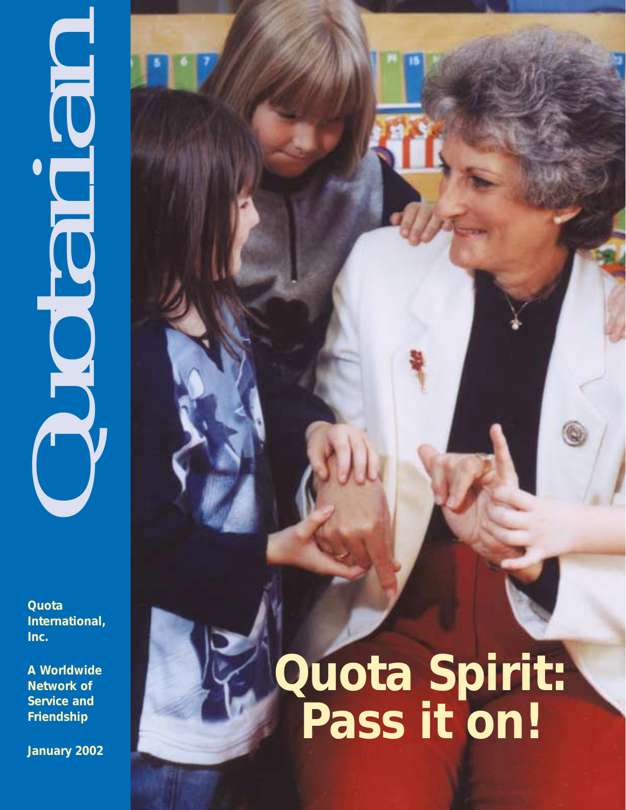**Quota International, Inc.**

*Quotarian*

MOICREAT

**A Worldwide Network of Service and Friendship**

**January 2002**

# **Quota Spirit: Pass it on!**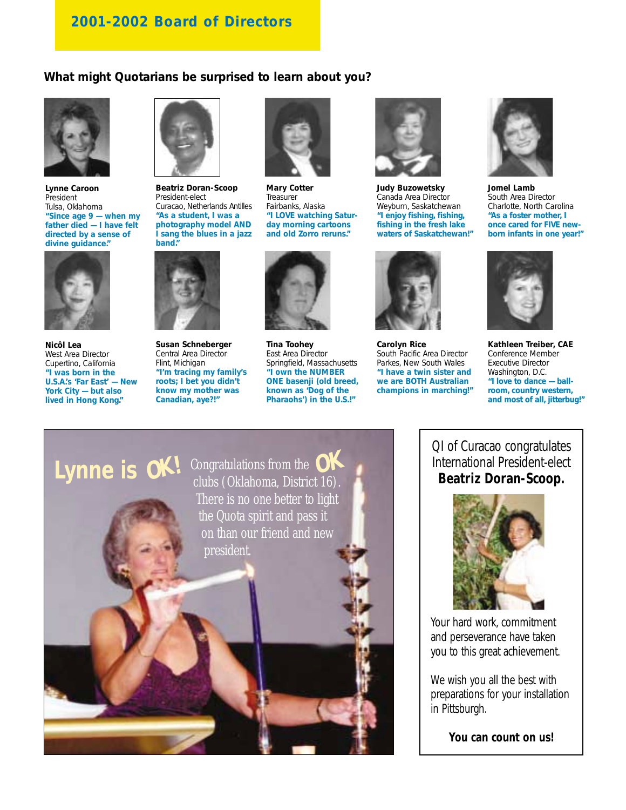#### **What might Quotarians be surprised to learn about you?**



**Lynne Caroon** President *Tulsa, Oklahoma* **"Since age 9 — when my father died — I have felt directed by a sense of divine guidance."** 



**Nicôl Lea** West Area Director *Cupertino, California* **"I was born in the U.S.A.'s 'Far East' — New York City — but also lived in Hong Kong."**



**Beatriz Doran-Scoop** President-elect *Curacao, Netherlands Antilles* **"As a student, I was a photography model AND I sang the blues in a jazz band."**



**Susan Schneberger** Central Area Director *Flint, Michigan* **"I'm tracing my family's roots; I bet you didn't know my mother was Canadian, aye?!"** 



**Mary Cotter Treasurer** *Fairbanks, Alaska* **"I LOVE watching Saturday morning cartoons and old Zorro reruns."**



**Tina Toohey** East Area Director *Springfield, Massachusetts* **"I own the NUMBER ONE basenji (old breed, known as 'Dog of the Pharaohs') in the U.S.!"**



**Judy Buzowetsky** Canada Area Director *Weyburn, Saskatchewan* **"I enjoy fishing, fishing, fishing in the fresh lake waters of Saskatchewan!"** 



**Carolyn Rice** South Pacific Area Director *Parkes, New South Wales* **"I have a twin sister and we are BOTH Australian champions in marching!"** 



**Jomel Lamb** South Area Director *Charlotte, North Carolina* **"As a foster mother, I once cared for FIVE newborn infants in one year!"**



**Kathleen Treiber, CAE** Conference Member Executive Director *Washington, D.C.* **"I love to dance — ballroom, country western, and most of all, jitterbug!"** 



QI of Curacao congratulates International President-elect **Beatriz Doran-Scoop.**



Your hard work, commitment and perseverance have taken you to this great achievement.

We wish you all the best with preparations for your installation in Pittsburgh.

**You can count on us!**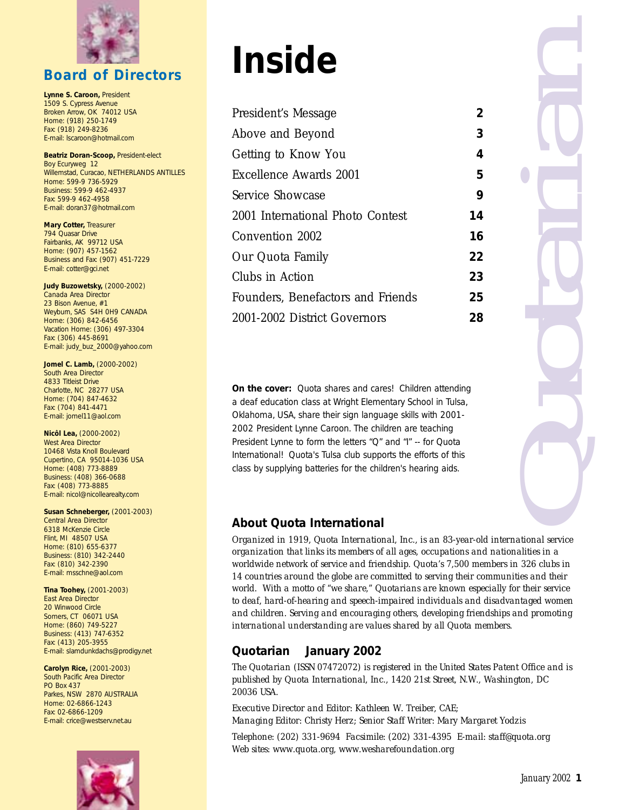

#### **Board of Directors**

**Lynne S. Caroon,** *President*  1509 S. Cypress Avenue Broken Arrow, OK 74012 USA Home: (918) 250-1749 Fax: (918) 249-8236 E-mail: lscaroon@hotmail.com

**Beatriz Doran-Scoop,** *President-elect* Boy Ecuryweg 12 Willemstad, Curacao, NETHERLANDS ANTILLES Home: 599-9 736-5929 Business: 599-9 462-4937 Fax: 599-9 462-4958 E-mail: doran37@hotmail.com

**Mary Cotter,** *Treasurer* 794 Quasar Drive Fairbanks, AK 99712 USA Home: (907) 457-1562 Business and Fax: (907) 451-7229 E-mail: cotter@gci.net

**Judy Buzowetsky,** *(2000-2002) Canada Area Director* 23 Bison Avenue, #1 Weyburn, SAS S4H 0H9 CANADA Home: (306) 842-6456 Vacation Home: (306) 497-3304 Fax: (306) 445-8691 E-mail: judy\_buz\_2000@yahoo.com

**Jomel C. Lamb,** *(2000-2002) South Area Director* 4833 Titleist Drive Charlotte, NC 28277 USA Home: (704) 847-4632 Fax: (704) 841-4471 E-mail: jomel11@aol.com

**Nicôl Lea,** *(2000-2002) West Area Director* 10468 Vista Knoll Boulevard Cupertino, CA 95014-1036 USA Home: (408) 773-8889 Business: (408) 366-0688 Fax: (408) 773-8885 E-mail: nicol@nicollearealty.com

#### **Susan Schneberger,** *(2001-2003)*

*Central Area Director* 6318 McKenzie Circle Flint, MI 48507 USA Home: (810) 655-6377 Business: (810) 342-2440 Fax: (810) 342-2390 E-mail: msschne@aol.com

**Tina Toohey,** *(2001-2003) East Area Director* 20 Winwood Circle Somers, CT 06071 USA Home: (860) 749-5227 Business: (413) 747-6352 Fax: (413) 205-3955 E-mail: slamdunkdachs@prodigy.net

**Carolyn Rice,** *(2001-2003) South Pacific Area Director* PO Box 437 Parkes, NSW 2870 AUSTRALIA Home: 02-6866-1243 Fax: 02-6866-1209 E-mail: crice@westserv.net.au



# *Inside*

| President's Message               | 2  |
|-----------------------------------|----|
| Above and Beyond                  | 3  |
| Getting to Know You               | 4  |
| Excellence Awards 2001            | 5  |
| Service Showcase                  | 9  |
| 2001 International Photo Contest  | 14 |
| Convention 2002                   | 16 |
| Our Quota Family                  | 22 |
| Clubs in Action                   | 23 |
| Founders, Benefactors and Friends | 25 |
| 2001-2002 District Governors      | 28 |

**On the cover:** *Quota shares and cares! Children attending a deaf education class at Wright Elementary School in Tulsa, Oklahoma, USA, share their sign language skills with 2001- 2002 President Lynne Caroon. The children are teaching President Lynne to form the letters "Q" and "I" -- for Quota International! Quota's Tulsa club supports the efforts of this class by supplying batteries for the children's hearing aids.* 



#### **About Quota International**

*Organized in 1919, Quota International, Inc., is an 83-year-old international service organization that links its members of all ages, occupations and nationalities in a worldwide network of service and friendship. Quota's 7,500 members in 326 clubs in 14 countries around the globe are committed to serving their communities and their world. With a motto of "we share," Quotarians are known especially for their service to deaf, hard-of-hearing and speech-impaired individuals and disadvantaged women and children. Serving and encouraging others, developing friendships and promoting international understanding are values shared by all Quota members.*

#### **Quotarian January 2002**

*The Quotarian (ISSN 07472072) is registered in the United States Patent Office and is published by Quota International, Inc., 1420 21st Street, N.W., Washington, DC 20036 USA.* 

*Executive Director and Editor: Kathleen W. Treiber, CAE; Managing Editor: Christy Herz; Senior Staff Writer: Mary Margaret Yodzis Telephone: (202) 331-9694 Facsimile: (202) 331-4395 E-mail: staff@quota.org* 

*Web sites: www.quota.org, www.wesharefoundation.org*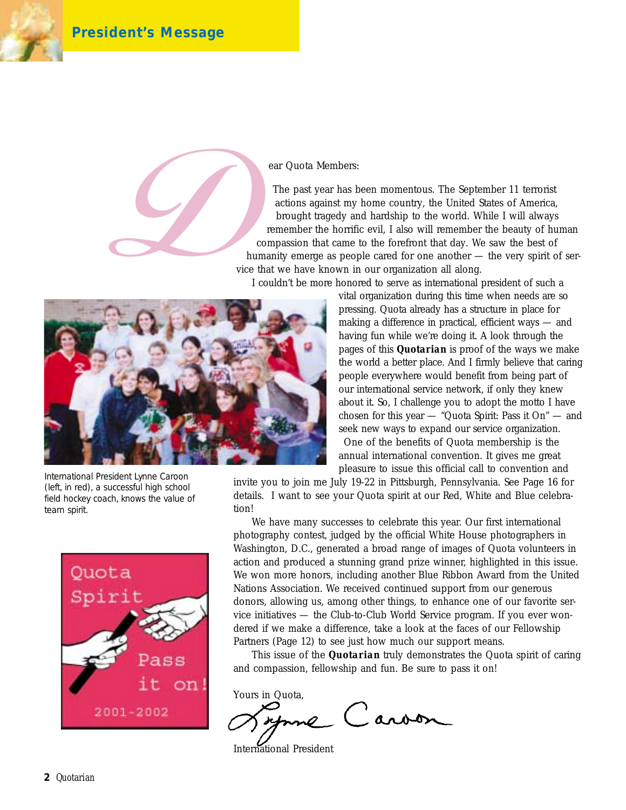

ear Quota Members:

The past year has been momentous. The September 11 terrorist actions against my home country, the United States of America, brought tragedy and hardship to the world. While I will always remember the horrific evil, I also will remember the beauty of human compassion that came to the forefront that day. We saw the best of humanity emerge as people cared for one another — the very spirit of service that we have known in our organization all along. ex<br>
T<br>
re<br>
com<br>
human<br>
vice that<br>
I coul

I couldn't be more honored to serve as international president of such a



*International President Lynne Caroon (left, in red), a successful high school field hockey coach, knows the value of team spirit.*



vital organization during this time when needs are so pressing. Quota already has a structure in place for making a difference in practical, efficient ways — and having fun while we're doing it. A look through the pages of this *Quotarian* is proof of the ways we make the world a better place. And I firmly believe that caring people everywhere would benefit from being part of our international service network, if only they knew about it. So, I challenge you to adopt the motto I have chosen for this year — "Quota Spirit: Pass it On" — and seek new ways to expand our service organization.

One of the benefits of Quota membership is the annual international convention. It gives me great pleasure to issue this official call to convention and

invite you to join me July 19-22 in Pittsburgh, Pennsylvania. See Page 16 for details. I want to see your Quota spirit at our Red, White and Blue celebration!

We have many successes to celebrate this year. Our first international photography contest, judged by the official White House photographers in Washington, D.C., generated a broad range of images of Quota volunteers in action and produced a stunning grand prize winner, highlighted in this issue. We won more honors, including another Blue Ribbon Award from the United Nations Association. We received continued support from our generous donors, allowing us, among other things, to enhance one of our favorite service initiatives — the Club-to-Club World Service program. If you ever wondered if we make a difference, take a look at the faces of our Fellowship Partners (Page 12) to see just how much our support means.

This issue of the *Quotarian* truly demonstrates the Quota spirit of caring and compassion, fellowship and fun. Be sure to pass it on!

Yours in Quota,

me Caroon

International President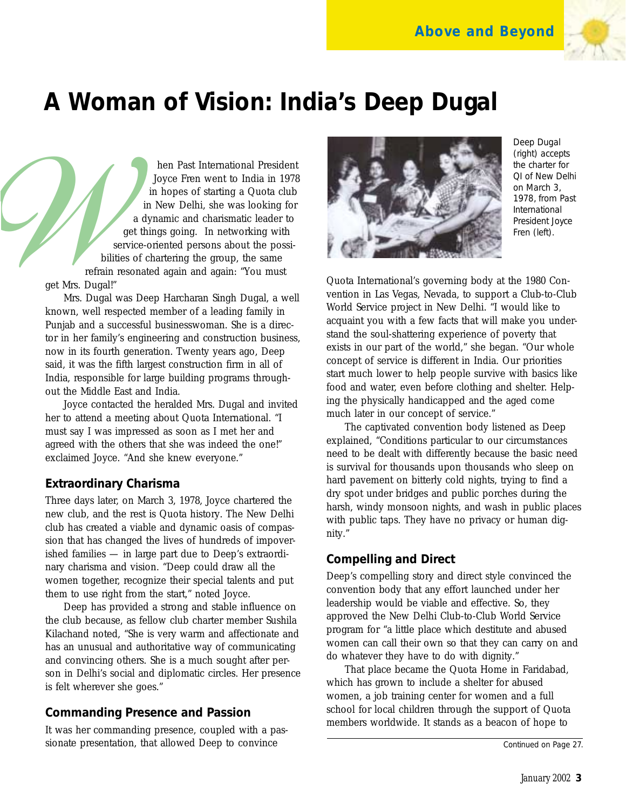

# **A Woman of Vision: India's Deep Dugal**

hen Past International President Joyce Fren went to India in 1978 in hopes of starting a Quota club in New Delhi, she was looking for a dynamic and charismatic leader to get things going. In networking with service-oriented persons about the possibilities of chartering the group, the same refrain resonated again and again: "You must get Mrs. Dugal!" ge<br>
Serv<br>
bilities<br>
refrain res<br>
get Mrs. Dugal!"<br>
Mrs. Dugal was<br>
known well respec

Mrs. Dugal was Deep Harcharan Singh Dugal, a well known, well respected member of a leading family in Punjab and a successful businesswoman. She is a director in her family's engineering and construction business, now in its fourth generation. Twenty years ago, Deep said, it was the fifth largest construction firm in all of India, responsible for large building programs throughout the Middle East and India.

Joyce contacted the heralded Mrs. Dugal and invited her to attend a meeting about Quota International. "I must say I was impressed as soon as I met her and agreed with the others that she was indeed the one!" exclaimed Joyce. "And she knew everyone."

#### **Extraordinary Charisma**

Three days later, on March 3, 1978, Joyce chartered the new club, and the rest is Quota history. The New Delhi club has created a viable and dynamic oasis of compassion that has changed the lives of hundreds of impoverished families — in large part due to Deep's extraordinary charisma and vision. "Deep could draw all the women together, recognize their special talents and put them to use right from the start," noted Joyce.

Deep has provided a strong and stable influence on the club because, as fellow club charter member Sushila Kilachand noted, "She is very warm and affectionate and has an unusual and authoritative way of communicating and convincing others. She is a much sought after person in Delhi's social and diplomatic circles. Her presence is felt wherever she goes."

#### **Commanding Presence and Passion**

It was her commanding presence, coupled with a passionate presentation, that allowed Deep to convince



*Deep Dugal (right) accepts the charter for QI of New Delhi on March 3, 1978, from Past International President Joyce Fren (left).*

Quota International's governing body at the 1980 Convention in Las Vegas, Nevada, to support a Club-to-Club World Service project in New Delhi. "I would like to acquaint you with a few facts that will make you understand the soul-shattering experience of poverty that exists in our part of the world," she began. "Our whole concept of service is different in India. Our priorities start much lower to help people survive with basics like food and water, even before clothing and shelter. Helping the physically handicapped and the aged come much later in our concept of service."

The captivated convention body listened as Deep explained, "Conditions particular to our circumstances need to be dealt with differently because the basic need is survival for thousands upon thousands who sleep on hard pavement on bitterly cold nights, trying to find a dry spot under bridges and public porches during the harsh, windy monsoon nights, and wash in public places with public taps. They have no privacy or human dignity."

#### **Compelling and Direct**

Deep's compelling story and direct style convinced the convention body that any effort launched under her leadership would be viable and effective. So, they approved the New Delhi Club-to-Club World Service program for "a little place which destitute and abused women can call their own so that they can carry on and do whatever they have to do with dignity."

That place became the Quota Home in Faridabad, which has grown to include a shelter for abused women, a job training center for women and a full school for local children through the support of Quota members worldwide. It stands as a beacon of hope to

*Continued on Page 27.*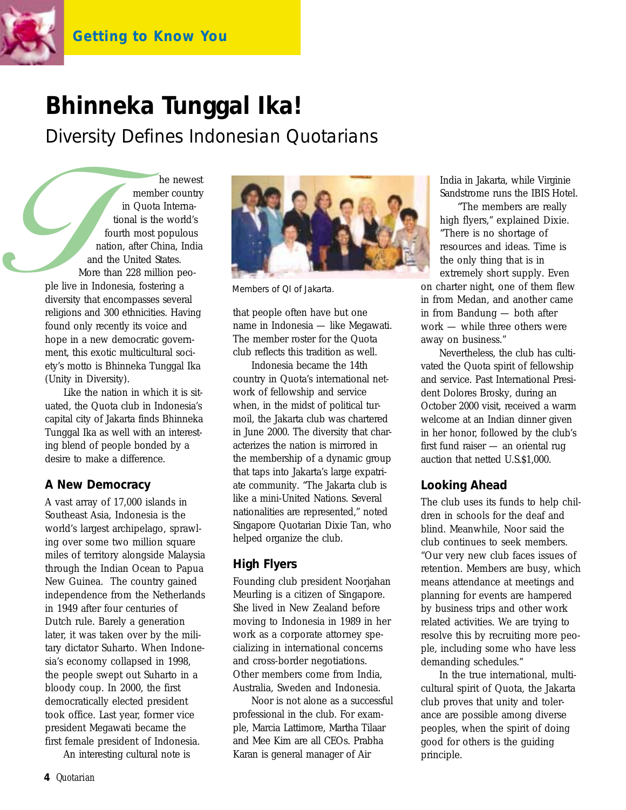

# **Bhinneka Tunggal Ika!**

*Diversity Defines Indonesian Quotarians*

he newest member country in Quota International is the world's fourth most populous nation, after China, India and the United States. More than 228 million people live in Indonesia, fostering a diversity that encompasses several religions and 300 ethnicities. Having found only recently its voice and hope in a new democratic government, this exotic multicultural society's motto is Bhinneka Tunggal Ika (Unity in Diversity). The member country<br>
in Quota Interna-<br>
tional is the world's<br>
fourth most populous<br>
The members are really<br>
fourth most populous<br>
tional is the world's<br>
fourth most populous<br>
and the United States.<br>
More than 228 million p

Like the nation in which it is situated, the Quota club in Indonesia's capital city of Jakarta finds Bhinneka Tunggal Ika as well with an interesting blend of people bonded by a desire to make a difference.

#### **A New Democracy**

A vast array of 17,000 islands in Southeast Asia, Indonesia is the world's largest archipelago, sprawling over some two million square miles of territory alongside Malaysia through the Indian Ocean to Papua New Guinea. The country gained independence from the Netherlands in 1949 after four centuries of Dutch rule. Barely a generation later, it was taken over by the military dictator Suharto. When Indonesia's economy collapsed in 1998, the people swept out Suharto in a bloody coup. In 2000, the first democratically elected president took office. Last year, former vice president Megawati became the first female president of Indonesia.

An interesting cultural note is



*Members of QI of Jakarta.*

that people often have but one name in Indonesia — like Megawati. The member roster for the Quota club reflects this tradition as well.

Indonesia became the 14th country in Quota's international network of fellowship and service when, in the midst of political turmoil, the Jakarta club was chartered in June 2000. The diversity that characterizes the nation is mirrored in the membership of a dynamic group that taps into Jakarta's large expatriate community. "The Jakarta club is like a mini-United Nations. Several nationalities are represented," noted Singapore Quotarian Dixie Tan, who helped organize the club.

#### **High Flyers**

Founding club president Noorjahan Meurling is a citizen of Singapore. She lived in New Zealand before moving to Indonesia in 1989 in her work as a corporate attorney specializing in international concerns and cross-border negotiations. Other members come from India, Australia, Sweden and Indonesia.

Noor is not alone as a successful professional in the club. For example, Marcia Lattimore, Martha Tilaar and Mee Kim are all CEOs. Prabha Karan is general manager of Air

Sandstrome runs the IBIS Hotel.

"The members are really high flyers," explained Dixie. "There is no shortage of resources and ideas. Time is the only thing that is in extremely short supply. Even

on charter night, one of them flew in from Medan, and another came in from Bandung — both after work — while three others were away on business."

Nevertheless, the club has cultivated the Quota spirit of fellowship and service. Past International President Dolores Brosky, during an October 2000 visit, received a warm welcome at an Indian dinner given in her honor, followed by the club's first fund raiser — an oriental rug auction that netted U.S.\$1,000.

#### **Looking Ahead**

The club uses its funds to help children in schools for the deaf and blind. Meanwhile, Noor said the club continues to seek members. "Our very new club faces issues of retention. Members are busy, which means attendance at meetings and planning for events are hampered by business trips and other work related activities. We are trying to resolve this by recruiting more people, including some who have less demanding schedules."

In the true international, multicultural spirit of Quota, the Jakarta club proves that unity and tolerance are possible among diverse peoples, when the spirit of doing good for others is the guiding principle.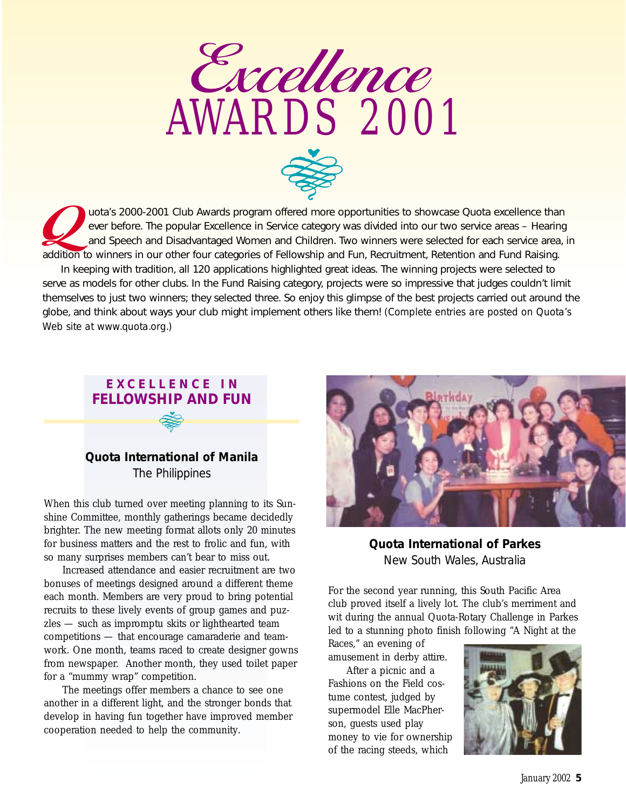



**Q**uota's 2000-2001 Club Awards program offered more opportunities to showcase Quota excellence than<br>
ever before. The popular Excellence in Service category was divided into our two service areas – Hearing<br>
and Speech and ever before. The popular Excellence in Service category was divided into our two service areas – Hearing and Speech and Disadvantaged Women and Children. Two winners were selected for each service area, in

In keeping with tradition, all 120 applications highlighted great ideas. The winning projects were selected to serve as models for other clubs. In the Fund Raising category, projects were so impressive that judges couldn't limit themselves to just two winners; they selected three. So enjoy this glimpse of the best projects carried out around the globe, and think about ways your club might implement others like them! *(Complete entries are posted on Quota's Web site at www.quota.org.)*

## **EXCELLENCE IN FELLOWSHIP AND FUN the Company**

#### **Quota International of Manila**

*The Philippines*

When this club turned over meeting planning to its Sunshine Committee, monthly gatherings became decidedly brighter. The new meeting format allots only 20 minutes for business matters and the rest to frolic and fun, with so many surprises members can't bear to miss out.

Increased attendance and easier recruitment are two bonuses of meetings designed around a different theme each month. Members are very proud to bring potential recruits to these lively events of group games and puzzles — such as impromptu skits or lighthearted team competitions — that encourage camaraderie and teamwork. One month, teams raced to create designer gowns from newspaper. Another month, they used toilet paper for a "mummy wrap" competition.

The meetings offer members a chance to see one another in a different light, and the stronger bonds that develop in having fun together have improved member cooperation needed to help the community.



**Quota International of Parkes** *New South Wales, Australia*

For the second year running, this South Pacific Area club proved itself a lively lot. The club's merriment and wit during the annual Quota-Rotary Challenge in Parkes led to a stunning photo finish following "A Night at the

Races," an evening of amusement in derby attire.

After a picnic and a Fashions on the Field costume contest, judged by supermodel Elle MacPherson, guests used play money to vie for ownership of the racing steeds, which

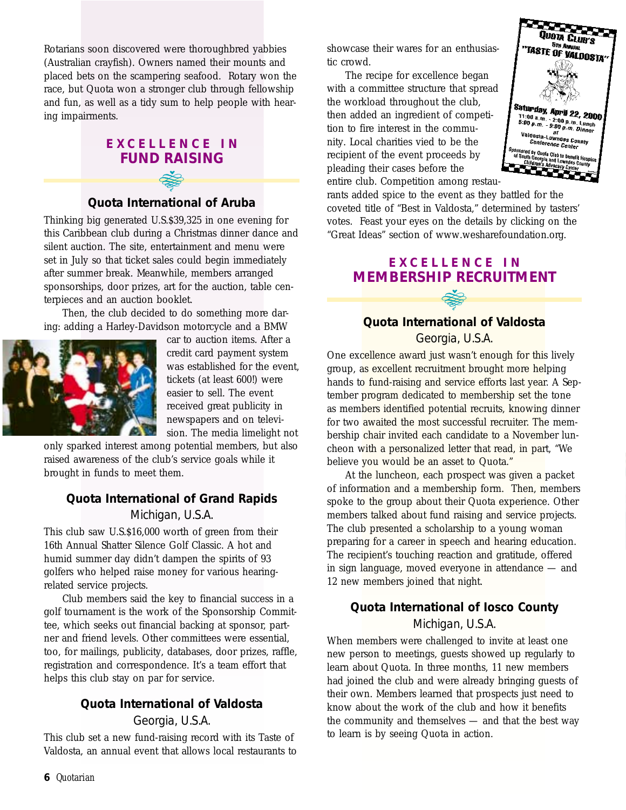Rotarians soon discovered were thoroughbred yabbies (Australian crayfish). Owners named their mounts and placed bets on the scampering seafood. Rotary won the race, but Quota won a stronger club through fellowship and fun, as well as a tidy sum to help people with hearing impairments.

#### **EXCELLENCE IN FUND RAISING Report**

#### **Quota International of Aruba**

Thinking big generated U.S.\$39,325 in one evening for this Caribbean club during a Christmas dinner dance and silent auction. The site, entertainment and menu were set in July so that ticket sales could begin immediately after summer break. Meanwhile, members arranged sponsorships, door prizes, art for the auction, table centerpieces and an auction booklet.

Then, the club decided to do something more daring: adding a Harley-Davidson motorcycle and a BMW



car to auction items. After a credit card payment system was established for the event, tickets (at least 600!) were easier to sell. The event received great publicity in newspapers and on television. The media limelight not

only sparked interest among potential members, but also raised awareness of the club's service goals while it brought in funds to meet them.

#### **Quota International of Grand Rapids**

#### *Michigan, U.S.A.*

This club saw U.S.\$16,000 worth of green from their 16th Annual Shatter Silence Golf Classic. A hot and humid summer day didn't dampen the spirits of 93 golfers who helped raise money for various hearingrelated service projects.

Club members said the key to financial success in a golf tournament is the work of the Sponsorship Committee, which seeks out financial backing at sponsor, partner and friend levels. Other committees were essential, too, for mailings, publicity, databases, door prizes, raffle, registration and correspondence. It's a team effort that helps this club stay on par for service.

#### **Quota International of Valdosta**

#### *Georgia, U.S.A.*

This club set a new fund-raising record with its Taste of Valdosta, an annual event that allows local restaurants to showcase their wares for an enthusiastic crowd.

The recipe for excellence began with a committee structure that spread the workload throughout the club, then added an ingredient of competition to fire interest in the community. Local charities vied to be the recipient of the event proceeds by pleading their cases before the entire club. Competition among restau-



rants added spice to the event as they battled for the coveted title of "Best in Valdosta," determined by tasters' votes. Feast your eyes on the details by clicking on the "Great Ideas" section of www.wesharefoundation.org.

#### **EXCELLENCE IN MEMBERSHIP RECRUITMENT**

#### **Quota International of Valdosta**

**Report** 

*Georgia, U.S.A.*

One excellence award just wasn't enough for this lively group, as excellent recruitment brought more helping hands to fund-raising and service efforts last year. A September program dedicated to membership set the tone as members identified potential recruits, knowing dinner for two awaited the most successful recruiter. The membership chair invited each candidate to a November luncheon with a personalized letter that read, in part, "We believe you would be an asset to Quota."

At the luncheon, each prospect was given a packet of information and a membership form. Then, members spoke to the group about their Quota experience. Other members talked about fund raising and service projects. The club presented a scholarship to a young woman preparing for a career in speech and hearing education. The recipient's touching reaction and gratitude, offered in sign language, moved everyone in attendance — and 12 new members joined that night.

#### **Quota International of Iosco County**

#### *Michigan, U.S.A.*

When members were challenged to invite at least one new person to meetings, guests showed up regularly to learn about Quota. In three months, 11 new members had joined the club and were already bringing guests of their own. Members learned that prospects just need to know about the work of the club and how it benefits the community and themselves — and that the best way to learn is by seeing Quota in action.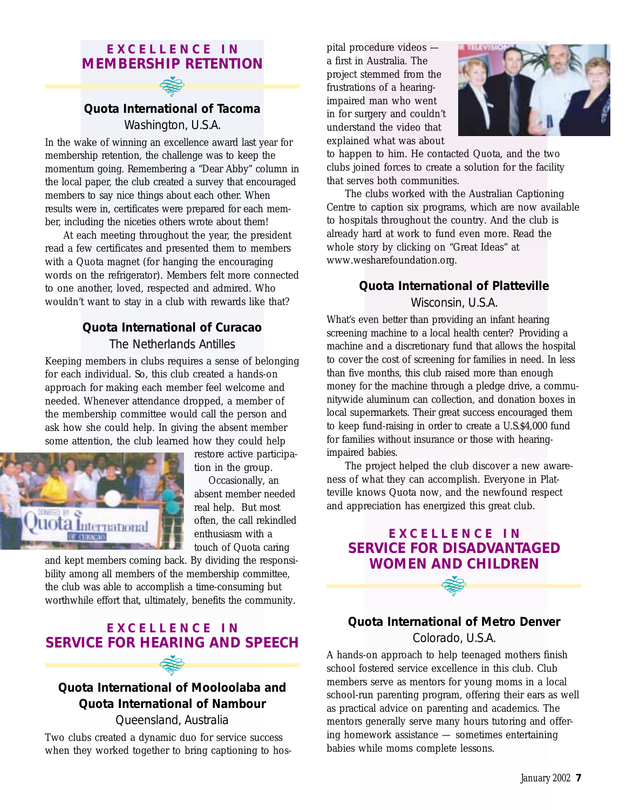#### **EXCELLENCE IN MEMBERSHIP RETENTION**



**Report** 

#### *Washington, U.S.A.*

In the wake of winning an excellence award last year for membership retention, the challenge was to keep the momentum going. Remembering a "Dear Abby" column in the local paper, the club created a survey that encouraged members to say nice things about each other. When results were in, certificates were prepared for each member, including the niceties others wrote about them!

At each meeting throughout the year, the president read a few certificates and presented them to members with a Quota magnet (for hanging the encouraging words on the refrigerator). Members felt more connected to one another, loved, respected and admired. Who wouldn't want to stay in a club with rewards like that?

#### **Quota International of Curacao**

#### *The Netherlands Antilles*

Keeping members in clubs requires a sense of belonging for each individual. So, this club created a hands-on approach for making each member feel welcome and needed. Whenever attendance dropped, a member of the membership committee would call the person and ask how she could help. In giving the absent member some attention, the club learned how they could help



restore active participation in the group.

Occasionally, an absent member needed real help. But most often, the call rekindled enthusiasm with a touch of Quota caring

and kept members coming back. By dividing the responsibility among all members of the membership committee, the club was able to accomplish a time-consuming but worthwhile effort that, ultimately, benefits the community.

#### **EXCELLENCE IN SERVICE FOR HEARING AND SPEECH Report**

#### **Quota International of Mooloolaba and Quota International of Nambour**

#### *Queensland, Australia*

Two clubs created a dynamic duo for service success when they worked together to bring captioning to hos-

pital procedure videos a first in Australia. The project stemmed from the frustrations of a hearingimpaired man who went in for surgery and couldn't understand the video that explained what was about



to happen to him. He contacted Quota, and the two clubs joined forces to create a solution for the facility that serves both communities.

The clubs worked with the Australian Captioning Centre to caption six programs, which are now available to hospitals throughout the country. And the club is already hard at work to fund even more. Read the whole story by clicking on "Great Ideas" at www.wesharefoundation.org.

#### **Quota International of Platteville**

*Wisconsin, U.S.A.*

What's even better than providing an infant hearing screening machine to a local health center? Providing a machine *and* a discretionary fund that allows the hospital to cover the cost of screening for families in need. In less than five months, this club raised more than enough money for the machine through a pledge drive, a communitywide aluminum can collection, and donation boxes in local supermarkets. Their great success encouraged them to keep fund-raising in order to create a U.S.\$4,000 fund for families without insurance or those with hearingimpaired babies.

The project helped the club discover a new awareness of what they can accomplish. Everyone in Platteville knows Quota now, and the newfound respect and appreciation has energized this great club.

#### **EXCELLENCE IN SERVICE FOR DISADVANTAGED WOMEN AND CHILDREN**

**the Company** 

#### **Quota International of Metro Denver**

*Colorado, U.S.A.*

A hands-on approach to help teenaged mothers finish school fostered service excellence in this club. Club members serve as mentors for young moms in a local school-run parenting program, offering their ears as well as practical advice on parenting and academics. The mentors generally serve many hours tutoring and offering homework assistance — sometimes entertaining babies while moms complete lessons.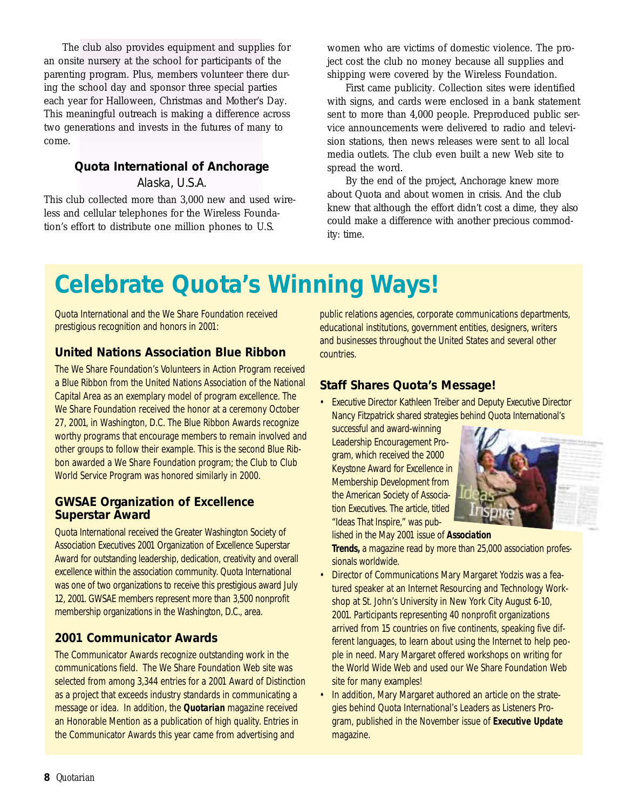The club also provides equipment and supplies for an onsite nursery at the school for participants of the parenting program. Plus, members volunteer there during the school day and sponsor three special parties each year for Halloween, Christmas and Mother's Day. This meaningful outreach is making a difference across two generations and invests in the futures of many to come.

#### **Quota International of Anchorage**

*Alaska, U.S.A.*

This club collected more than 3,000 new and used wireless and cellular telephones for the Wireless Foundation's effort to distribute one million phones to U.S.

women who are victims of domestic violence. The project cost the club no money because all supplies and shipping were covered by the Wireless Foundation.

First came publicity. Collection sites were identified with signs, and cards were enclosed in a bank statement sent to more than 4,000 people. Preproduced public service announcements were delivered to radio and television stations, then news releases were sent to all local media outlets. The club even built a new Web site to spread the word.

By the end of the project, Anchorage knew more about Quota and about women in crisis. And the club knew that although the effort didn't cost a dime, they also could make a difference with another precious commodity: time.

# **Celebrate Quota's Winning Ways!**

Quota International and the We Share Foundation received prestigious recognition and honors in 2001:

#### **United Nations Association Blue Ribbon**

The We Share Foundation's Volunteers in Action Program received a Blue Ribbon from the United Nations Association of the National Capital Area as an exemplary model of program excellence. The We Share Foundation received the honor at a ceremony October 27, 2001, in Washington, D.C. The Blue Ribbon Awards recognize worthy programs that encourage members to remain involved and other groups to follow their example. This is the second Blue Ribbon awarded a We Share Foundation program; the Club to Club World Service Program was honored similarly in 2000.

#### **GWSAE Organization of Excellence Superstar Award**

Quota International received the Greater Washington Society of Association Executives 2001 Organization of Excellence Superstar Award for outstanding leadership, dedication, creativity and overall excellence within the association community. Quota International was one of two organizations to receive this prestigious award July 12, 2001. GWSAE members represent more than 3,500 nonprofit membership organizations in the Washington, D.C., area.

#### **2001 Communicator Awards**

The Communicator Awards recognize outstanding work in the communications field. The We Share Foundation Web site was selected from among 3,344 entries for a 2001 Award of Distinction as a project that exceeds industry standards in communicating a message or idea. In addition, the *Quotarian* magazine received an Honorable Mention as a publication of high quality. Entries in the Communicator Awards this year came from advertising and

public relations agencies, corporate communications departments, educational institutions, government entities, designers, writers and businesses throughout the United States and several other countries.

#### **Staff Shares Quota's Message!**

**Executive Director Kathleen Treiber and Deputy Executive Director** Nancy Fitzpatrick shared strategies behind Quota International's

successful and award-winning Leadership Encouragement Program, which received the 2000 Keystone Award for Excellence in Membership Development from the American Society of Association Executives. The article, titled "Ideas That Inspire," was pub-



lished in the May 2001 issue of *Association*

*Trends,* a magazine read by more than 25,000 association professionals worldwide.

- Director of Communications Mary Margaret Yodzis was a featured speaker at an Internet Resourcing and Technology Workshop at St. John's University in New York City August 6-10, 2001. Participants representing 40 nonprofit organizations arrived from 15 countries on five continents, speaking five different languages, to learn about using the Internet to help people in need. Mary Margaret offered workshops on writing for the World Wide Web and used our We Share Foundation Web site for many examples!
- In addition, Mary Margaret authored an article on the strategies behind Quota International's Leaders as Listeners Program, published in the November issue of *Executive Update* magazine.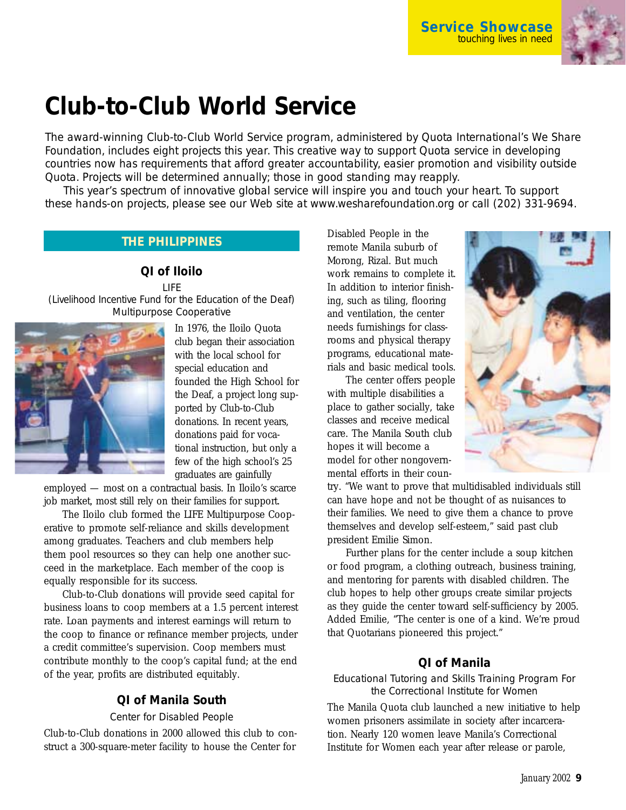

# **Club-to-Club World Service**

*The award-winning Club-to-Club World Service program, administered by Quota International's We Share Foundation, includes eight projects this year. This creative way to support Quota service in developing countries now has requirements that afford greater accountability, easier promotion and visibility outside Quota. Projects will be determined annually; those in good standing may reapply.*

*This year's spectrum of innovative global service will inspire you and touch your heart. To support these hands-on projects, please see our Web site at www.wesharefoundation.org or call (202) 331-9694.*

#### **THE PHILIPPINES**

#### **QI of Iloilo**

*LIFE (Livelihood Incentive Fund for the Education of the Deaf) Multipurpose Cooperative*



In 1976, the Iloilo Quota club began their association with the local school for special education and founded the High School for the Deaf, a project long supported by Club-to-Club donations. In recent years, donations paid for vocational instruction, but only a few of the high school's 25 graduates are gainfully

employed — most on a contractual basis. In Iloilo's scarce job market, most still rely on their families for support.

The Iloilo club formed the LIFE Multipurpose Cooperative to promote self-reliance and skills development among graduates. Teachers and club members help them pool resources so they can help one another succeed in the marketplace. Each member of the coop is equally responsible for its success.

Club-to-Club donations will provide seed capital for business loans to coop members at a 1.5 percent interest rate. Loan payments and interest earnings will return to the coop to finance or refinance member projects, under a credit committee's supervision. Coop members must contribute monthly to the coop's capital fund; at the end of the year, profits are distributed equitably.

#### **QI of Manila South**

#### *Center for Disabled People*

Club-to-Club donations in 2000 allowed this club to construct a 300-square-meter facility to house the Center for

Disabled People in the remote Manila suburb of Morong, Rizal. But much work remains to complete it. In addition to interior finishing, such as tiling, flooring and ventilation, the center needs furnishings for classrooms and physical therapy programs, educational materials and basic medical tools.

The center offers people with multiple disabilities a place to gather socially, take classes and receive medical care. The Manila South club hopes it will become a model for other nongovernmental efforts in their coun-



try. "We want to prove that multidisabled individuals still can have hope and not be thought of as nuisances to their families. We need to give them a chance to prove themselves and develop self-esteem," said past club president Emilie Simon.

Further plans for the center include a soup kitchen or food program, a clothing outreach, business training, and mentoring for parents with disabled children. The club hopes to help other groups create similar projects as they guide the center toward self-sufficiency by 2005. Added Emilie, "The center is one of a kind. We're proud that Quotarians pioneered this project."

#### **QI of Manila**

#### *Educational Tutoring and Skills Training Program For the Correctional Institute for Women*

The Manila Quota club launched a new initiative to help women prisoners assimilate in society after incarceration. Nearly 120 women leave Manila's Correctional Institute for Women each year after release or parole,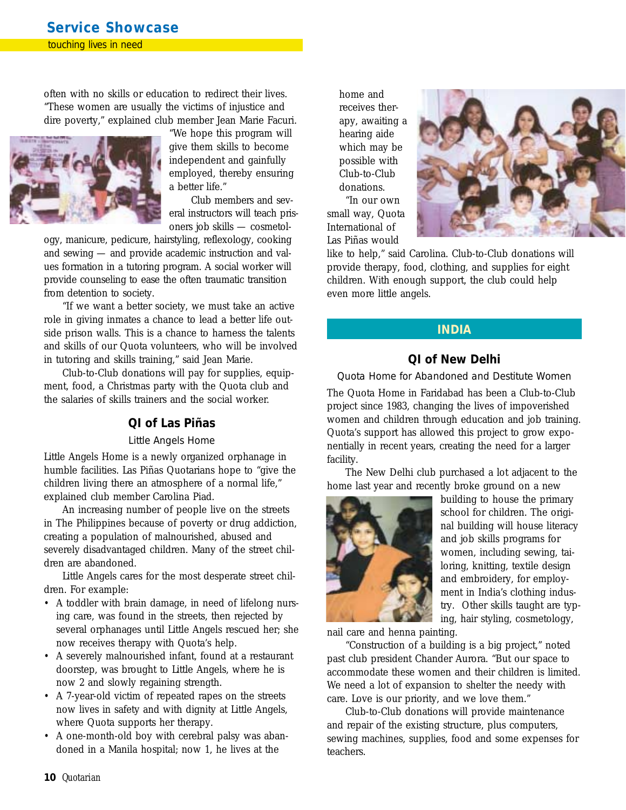often with no skills or education to redirect their lives. "These women are usually the victims of injustice and dire poverty," explained club member Jean Marie Facuri.



"We hope this program will give them skills to become independent and gainfully employed, thereby ensuring a better life."

Club members and several instructors will teach prisoners job skills — cosmetol-

ogy, manicure, pedicure, hairstyling, reflexology, cooking and sewing — and provide academic instruction and values formation in a tutoring program. A social worker will provide counseling to ease the often traumatic transition from detention to society.

"If we want a better society, we must take an active role in giving inmates a chance to lead a better life outside prison walls. This is a chance to harness the talents and skills of our Quota volunteers, who will be involved in tutoring and skills training," said Jean Marie.

Club-to-Club donations will pay for supplies, equipment, food, a Christmas party with the Quota club and the salaries of skills trainers and the social worker.

#### **QI of Las Piñas**

#### *Little Angels Home*

Little Angels Home is a newly organized orphanage in humble facilities. Las Piñas Quotarians hope to "give the children living there an atmosphere of a normal life," explained club member Carolina Piad.

An increasing number of people live on the streets in The Philippines because of poverty or drug addiction, creating a population of malnourished, abused and severely disadvantaged children. Many of the street children are abandoned.

Little Angels cares for the most desperate street children. For example:

- A toddler with brain damage, in need of lifelong nursing care, was found in the streets, then rejected by several orphanages until Little Angels rescued her; she now receives therapy with Quota's help.
- A severely malnourished infant, found at a restaurant doorstep, was brought to Little Angels, where he is now 2 and slowly regaining strength.
- A 7-year-old victim of repeated rapes on the streets now lives in safety and with dignity at Little Angels, where Quota supports her therapy.
- A one-month-old boy with cerebral palsy was abandoned in a Manila hospital; now 1, he lives at the

receives therapy, awaiting a hearing aide which may be possible with Club-to-Club donations. "In our own small way, Quota International of Las Piñas would

home and



like to help," said Carolina. Club-to-Club donations will provide therapy, food, clothing, and supplies for eight children. With enough support, the club could help even more little angels.

#### **INDIA**

#### **QI of New Delhi**

#### *Quota Home for Abandoned and Destitute Women*

The Quota Home in Faridabad has been a Club-to-Club project since 1983, changing the lives of impoverished women and children through education and job training. Quota's support has allowed this project to grow exponentially in recent years, creating the need for a larger facility.

The New Delhi club purchased a lot adjacent to the home last year and recently broke ground on a new



building to house the primary school for children. The original building will house literacy and job skills programs for women, including sewing, tailoring, knitting, textile design and embroidery, for employment in India's clothing industry. Other skills taught are typing, hair styling, cosmetology,

nail care and henna painting.

"Construction of a building is a big project," noted past club president Chander Aurora. "But our space to accommodate these women and their children is limited. We need a lot of expansion to shelter the needy with care. Love is our priority, and we love them."

Club-to-Club donations will provide maintenance and repair of the existing structure, plus computers, sewing machines, supplies, food and some expenses for teachers.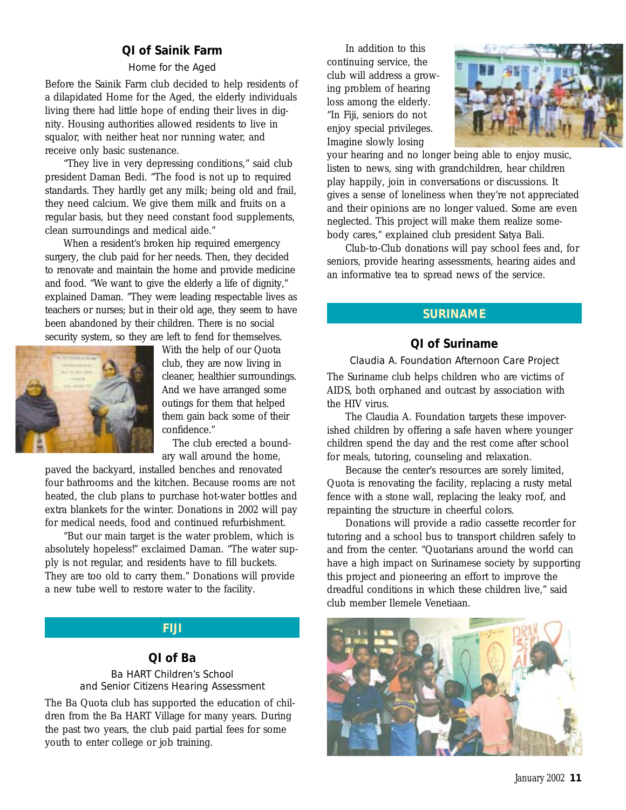#### **QI of Sainik Farm**

#### *Home for the Aged*

Before the Sainik Farm club decided to help residents of a dilapidated Home for the Aged, the elderly individuals living there had little hope of ending their lives in dignity. Housing authorities allowed residents to live in squalor, with neither heat nor running water, and receive only basic sustenance.

"They live in very depressing conditions," said club president Daman Bedi. "The food is not up to required standards. They hardly get any milk; being old and frail, they need calcium. We give them milk and fruits on a regular basis, but they need constant food supplements, clean surroundings and medical aide."

When a resident's broken hip required emergency surgery, the club paid for her needs. Then, they decided to renovate and maintain the home and provide medicine and food. "We want to give the elderly a life of dignity," explained Daman. "They were leading respectable lives as teachers or nurses; but in their old age, they seem to have been abandoned by their children. There is no social security system, so they are left to fend for themselves.



With the help of our Quota club, they are now living in cleaner, healthier surroundings. And we have arranged some outings for them that helped them gain back some of their confidence."

The club erected a boundary wall around the home,

paved the backyard, installed benches and renovated four bathrooms and the kitchen. Because rooms are not heated, the club plans to purchase hot-water bottles and extra blankets for the winter. Donations in 2002 will pay for medical needs, food and continued refurbishment.

"But our main target is the water problem, which is absolutely hopeless!" exclaimed Daman. "The water supply is not regular, and residents have to fill buckets. They are too old to carry them." Donations will provide a new tube well to restore water to the facility.

#### **FIJI**

#### **QI of Ba**

#### *Ba HART Children's School and Senior Citizens Hearing Assessment*

The Ba Quota club has supported the education of children from the Ba HART Village for many years. During the past two years, the club paid partial fees for some youth to enter college or job training.

In addition to this continuing service, the club will address a growing problem of hearing loss among the elderly. "In Fiji, seniors do not enjoy special privileges. Imagine slowly losing



your hearing and no longer being able to enjoy music, listen to news, sing with grandchildren, hear children play happily, join in conversations or discussions. It gives a sense of loneliness when they're not appreciated and their opinions are no longer valued. Some are even neglected. This project will make them realize somebody cares," explained club president Satya Bali.

Club-to-Club donations will pay school fees and, for seniors, provide hearing assessments, hearing aides and an informative tea to spread news of the service.

#### **SURINAME**

#### **QI of Suriname**

#### *Claudia A. Foundation Afternoon Care Project*

The Suriname club helps children who are victims of AIDS, both orphaned and outcast by association with the HIV virus.

The Claudia A. Foundation targets these impoverished children by offering a safe haven where younger children spend the day and the rest come after school for meals, tutoring, counseling and relaxation.

Because the center's resources are sorely limited, Quota is renovating the facility, replacing a rusty metal fence with a stone wall, replacing the leaky roof, and repainting the structure in cheerful colors.

Donations will provide a radio cassette recorder for tutoring and a school bus to transport children safely to and from the center. "Quotarians around the world can have a high impact on Surinamese society by supporting this project and pioneering an effort to improve the dreadful conditions in which these children live," said club member Ilemele Venetiaan.

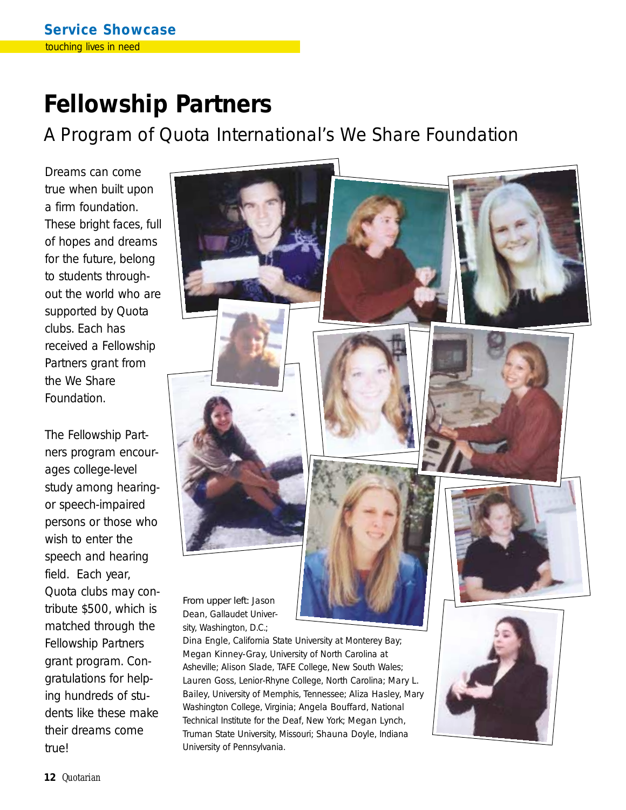# **Fellowship Partners**

*A Program of Quota International's We Share Foundation*

*Dreams can come true when built upon a firm foundation. These bright faces, full of hopes and dreams for the future, belong to students throughout the world who are supported by Quota clubs. Each has received a Fellowship Partners grant from the We Share Foundation.*

*The Fellowship Partners program encourages college-level study among hearingor speech-impaired persons or those who wish to enter the speech and hearing field. Each year, Quota clubs may contribute \$500, which is matched through the Fellowship Partners grant program. Congratulations for helping hundreds of students like these make their dreams come true!*



*Bailey, University of Memphis, Tennessee; Aliza Hasley, Mary Washington College, Virginia; Angela Bouffard, National Technical Institute for the Deaf, New York; Megan Lynch, Truman State University, Missouri; Shauna Doyle, Indiana*

*University of Pennsylvania.*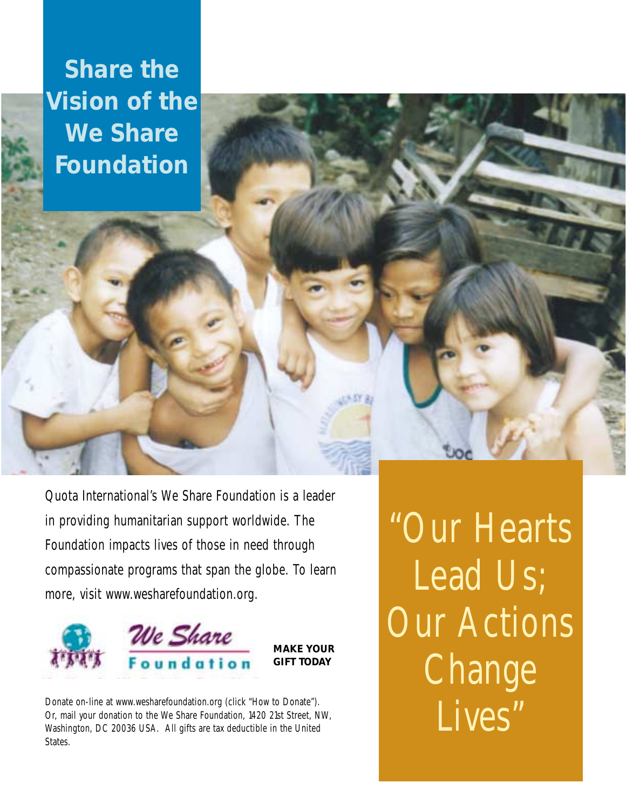# **Share the Vision of the We Share Foundation**

Quota International's We Share Foundation is a leader in providing humanitarian support worldwide. The Foundation impacts lives of those in need through compassionate programs that span the globe. To learn more, visit www.wesharefoundation.org.



States.

Donate on-line at www.wesharefoundation.org (click "How to Donate"). Or, mail your donation to the We Share Foundation, 1420 21st Street, NW, Washington, DC 20036 USA. All gifts are tax deductible in the United

"Our Hearts Lead Us; **Our Actions** Change Lives"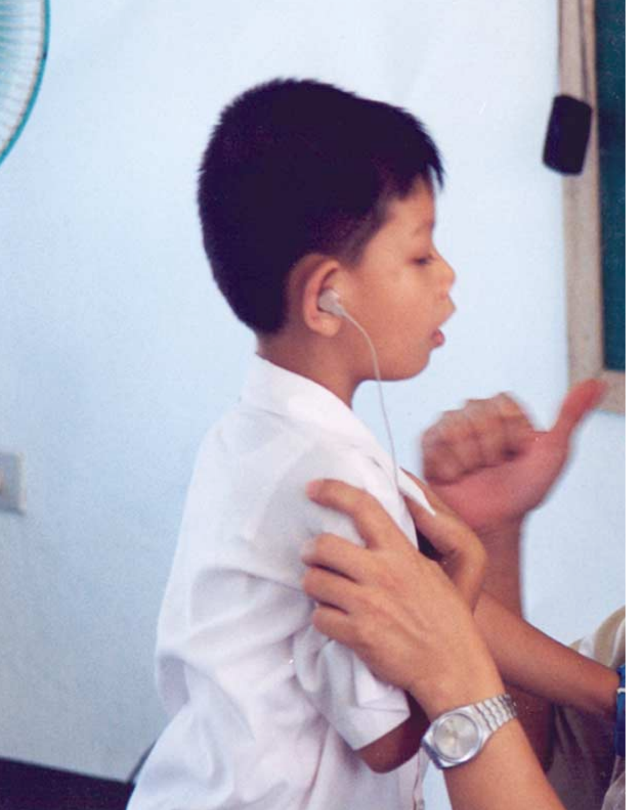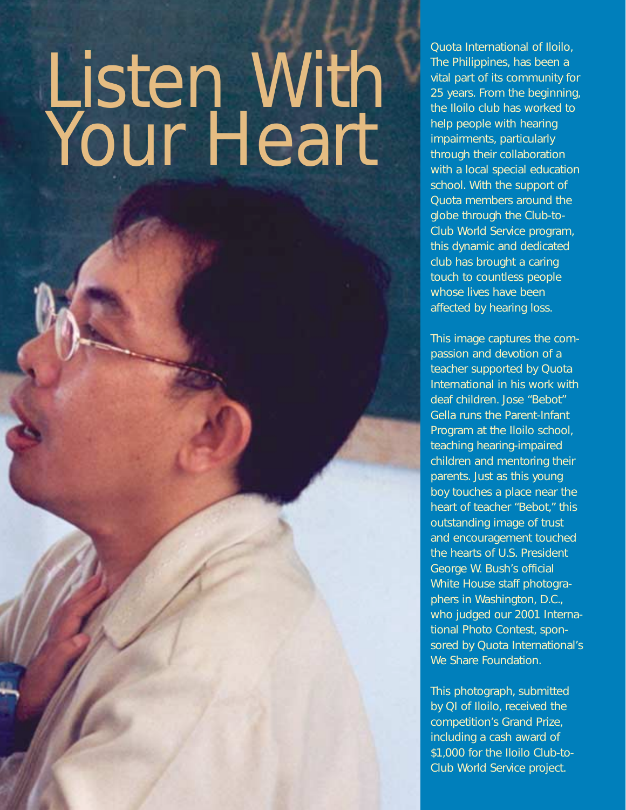# Listen With Your Heart

Quota International of Iloilo, The Philippines, has been a vital part of its community for 25 years. From the beginning, the Iloilo club has worked to help people with hearing impairments, particularly through their collaboration with a local special education school. With the support of Quota members around the globe through the Club-to-Club World Service program, this dynamic and dedicated club has brought a caring touch to countless people whose lives have been affected by hearing loss.

This image captures the compassion and devotion of a teacher supported by Quota International in his work with deaf children. Jose "Bebot" Gella runs the Parent-Infant Program at the Iloilo school, teaching hearing-impaired children and mentoring their parents. Just as this young boy touches a place near the heart of teacher "Bebot," this outstanding image of trust and encouragement touched the hearts of U.S. President George W. Bush's official White House staff photographers in Washington, D.C., who judged our 2001 International Photo Contest, sponsored by Quota International's We Share Foundation.

This photograph, submitted by QI of Iloilo, received the competition's Grand Prize, including a cash award of \$1,000 for the Iloilo Club-to-Club World Service project.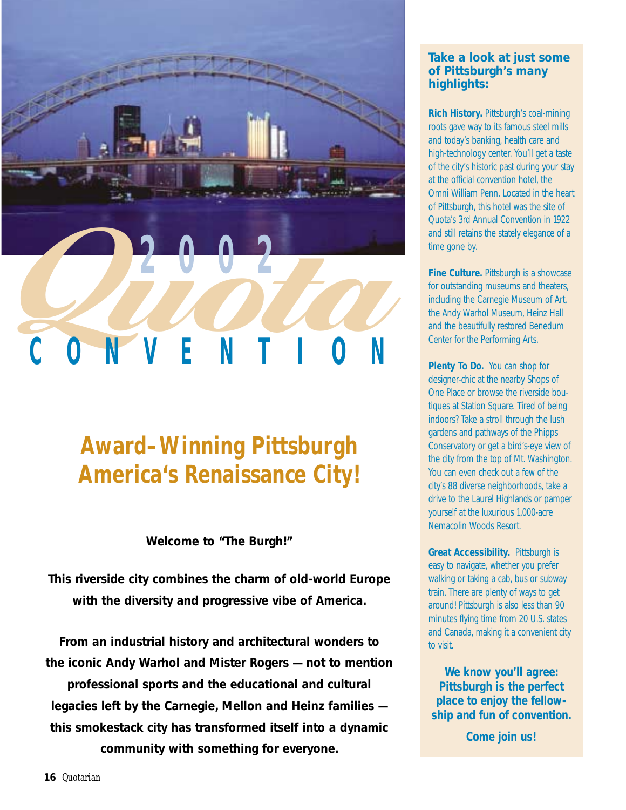# **Quota <sup>2002</sup> CONVENTION**

# **Award–Winning Pittsburgh America's Renaissance City!**

**Welcome to "The Burgh!"**

**This riverside city combines the charm of old-world Europe with the diversity and progressive vibe of America.**

**From an industrial history and architectural wonders to the iconic Andy Warhol and Mister Rogers — not to mention professional sports and the educational and cultural legacies left by the Carnegie, Mellon and Heinz families this smokestack city has transformed itself into a dynamic community with something for everyone.**

#### **Take a look at just some of Pittsburgh's many highlights:**

**Rich History.** Pittsburgh's coal-mining roots gave way to its famous steel mills and today's banking, health care and high-technology center. You'll get a taste of the city's historic past during your stay at the official convention hotel, the Omni William Penn. Located in the heart of Pittsburgh, this hotel was the site of Quota's 3rd Annual Convention in 1922 and still retains the stately elegance of a time gone by.

**Fine Culture.** Pittsburgh is a showcase for outstanding museums and theaters, including the Carnegie Museum of Art, the Andy Warhol Museum, Heinz Hall and the beautifully restored Benedum Center for the Performing Arts.

**Plenty To Do.** You can shop for designer-chic at the nearby Shops of One Place or browse the riverside boutiques at Station Square. Tired of being indoors? Take a stroll through the lush gardens and pathways of the Phipps Conservatory or get a bird's-eye view of the city from the top of Mt. Washington. You can even check out a few of the city's 88 diverse neighborhoods, take a drive to the Laurel Highlands or pamper yourself at the luxurious 1,000-acre Nemacolin Woods Resort.

**Great Accessibility.** Pittsburgh is easy to navigate, whether you prefer walking or taking a cab, bus or subway train. There are plenty of ways to get around! Pittsburgh is also less than 90 minutes flying time from 20 U.S. states and Canada, making it a convenient city to visit.

**We know you'll agree: Pittsburgh is the perfect place to enjoy the fellowship and fun of convention.**

**Come join us!**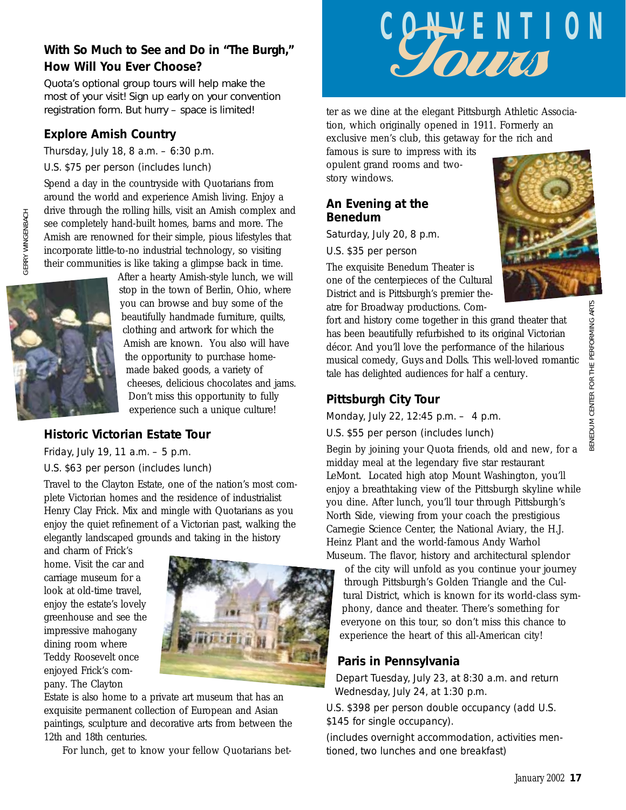#### **With So Much to See and Do in "The Burgh," How Will You Ever Choose?**

Quota's optional group tours will help make the most of your visit! Sign up early on your convention registration form. But hurry – space is limited!

#### **Explore Amish Country**

#### *Thursday, July 18, 8 a.m. – 6:30 p.m. U.S. \$75 per person (includes lunch)*

Spend a day in the countryside with Quotarians from around the world and experience Amish living. Enjoy a drive through the rolling hills, visit an Amish complex and see completely hand-built homes, barns and more. The Amish are renowned for their simple, pious lifestyles that incorporate little-to-no industrial technology, so visiting their communities is like taking a glimpse back in time.



After a hearty Amish-style lunch, we will stop in the town of Berlin, Ohio, where you can browse and buy some of the beautifully handmade furniture, quilts, clothing and artwork for which the Amish are known. You also will have the opportunity to purchase homemade baked goods, a variety of cheeses, delicious chocolates and jams. Don't miss this opportunity to fully experience such a unique culture!

#### **Historic Victorian Estate Tour**

*Friday, July 19, 11 a.m. – 5 p.m. U.S. \$63 per person (includes lunch)*

Travel to the Clayton Estate, one of the nation's most complete Victorian homes and the residence of industrialist Henry Clay Frick. Mix and mingle with Quotarians as you enjoy the quiet refinement of a Victorian past, walking the elegantly landscaped grounds and taking in the history

and charm of Frick's home. Visit the car and carriage museum for a look at old-time travel, enjoy the estate's lovely greenhouse and see the impressive mahogany dining room where Teddy Roosevelt once enjoyed Frick's company. The Clayton



Estate is also home to a private art museum that has an exquisite permanent collection of European and Asian paintings, sculpture and decorative arts from between the 12th and 18th centuries.

For lunch, get to know your fellow Quotarians bet-

# **CONVENTION**

ter as we dine at the elegant Pittsburgh Athletic Association, which originally opened in 1911. Formerly an exclusive men's club, this getaway for the rich and

famous is sure to impress with its opulent grand rooms and twostory windows.

#### **An Evening at the Benedum**

*Saturday, July 20, 8 p.m.*

*U.S. \$35 per person* 

The exquisite Benedum Theater is one of the centerpieces of the Cultural District and is Pittsburgh's premier theatre for Broadway productions. Com-



fort and history come together in this grand theater that has been beautifully refurbished to its original Victorian décor. And you'll love the performance of the hilarious musical comedy, *Guys and Dolls.* This well-loved romantic tale has delighted audiences for half a century.

#### **Pittsburgh City Tour**

*Monday, July 22, 12:45 p.m. – 4 p.m.*

*U.S. \$55 per person (includes lunch)*

Begin by joining your Quota friends, old and new, for a midday meal at the legendary five star restaurant LeMont. Located high atop Mount Washington, you'll enjoy a breathtaking view of the Pittsburgh skyline while you dine. After lunch, you'll tour through Pittsburgh's North Side, viewing from your coach the prestigious Carnegie Science Center, the National Aviary, the H.J. Heinz Plant and the world-famous Andy Warhol Museum. The flavor, history and architectural splendor

of the city will unfold as you continue your journey through Pittsburgh's Golden Triangle and the Cultural District, which is known for its world-class symphony, dance and theater. There's something for everyone on this tour, so don't miss this chance to experience the heart of this all-American city!

#### **Paris in Pennsylvania**

*Depart Tuesday, July 23, at 8:30 a.m. and return Wednesday, July 24, at 1:30 p.m.*

*U.S. \$398 per person double occupancy (add U.S. \$145 for single occupancy).*

*(includes overnight accommodation, activities mentioned, two lunches and one breakfast)*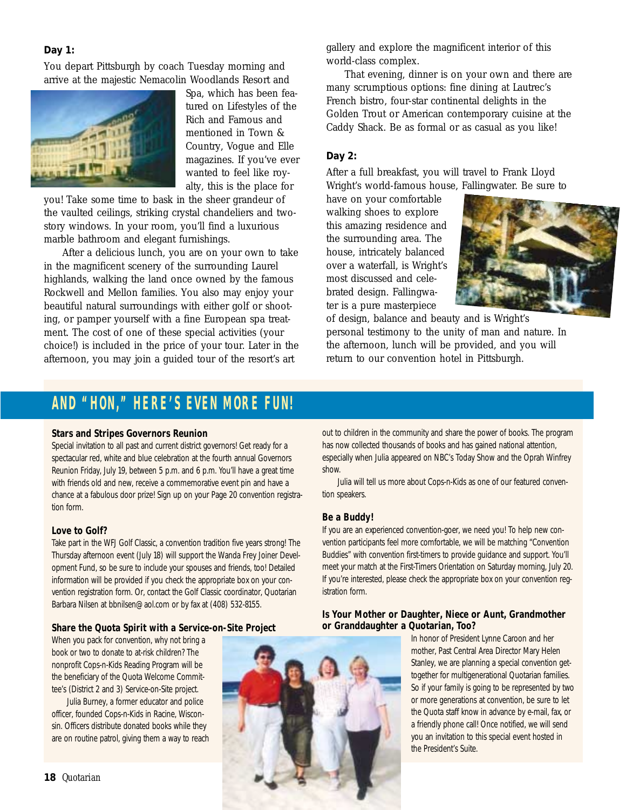#### **Day 1:**

You depart Pittsburgh by coach Tuesday morning and arrive at the majestic Nemacolin Woodlands Resort and



Spa, which has been featured on Lifestyles of the Rich and Famous and mentioned in Town & Country, Vogue and Elle magazines. If you've ever wanted to feel like royalty, this is the place for

you! Take some time to bask in the sheer grandeur of the vaulted ceilings, striking crystal chandeliers and twostory windows. In your room, you'll find a luxurious marble bathroom and elegant furnishings.

After a delicious lunch, you are on your own to take in the magnificent scenery of the surrounding Laurel highlands, walking the land once owned by the famous Rockwell and Mellon families. You also may enjoy your beautiful natural surroundings with either golf or shooting, or pamper yourself with a fine European spa treatment. The cost of one of these special activities (your choice!) is included in the price of your tour. Later in the afternoon, you may join a guided tour of the resort's art

gallery and explore the magnificent interior of this world-class complex.

That evening, dinner is on your own and there are many scrumptious options: fine dining at Lautrec's French bistro, four-star continental delights in the Golden Trout or American contemporary cuisine at the Caddy Shack. Be as formal or as casual as you like!

#### **Day 2:**

After a full breakfast, you will travel to Frank Lloyd Wright's world-famous house, Fallingwater. Be sure to

have on your comfortable walking shoes to explore this amazing residence and the surrounding area. The house, intricately balanced over a waterfall, is Wright's most discussed and celebrated design. Fallingwater is a pure masterpiece



of design, balance and beauty and is Wright's personal testimony to the unity of man and nature. In the afternoon, lunch will be provided, and you will return to our convention hotel in Pittsburgh.

#### **AND "HON," HERE'S EVEN MORE FUN!**

#### **Stars and Stripes Governors Reunion**

Special invitation to all past and current district governors! Get ready for a spectacular red, white and blue celebration at the fourth annual Governors Reunion Friday, July 19, between 5 p.m. and 6 p.m. You'll have a great time with friends old and new, receive a commemorative event pin and have a chance at a fabulous door prize! Sign up on your Page 20 convention registration form.

#### **Love to Golf?**

Take part in the WFJ Golf Classic, a convention tradition five years strong! The Thursday afternoon event (July 18) will support the Wanda Frey Joiner Development Fund, so be sure to include your spouses and friends, too! Detailed information will be provided if you check the appropriate box on your convention registration form. Or, contact the Golf Classic coordinator, Quotarian Barbara Nilsen at bbnilsen@aol.com or by fax at (408) 532-8155.

#### **Share the Quota Spirit with a Service-on-Site Project**

When you pack for convention, why not bring a book or two to donate to at-risk children? The nonprofit Cops-n-Kids Reading Program will be the beneficiary of the Quota Welcome Committee's (District 2 and 3) Service-on-Site project.

Julia Burney, a former educator and police officer, founded Cops-n-Kids in Racine, Wisconsin. Officers distribute donated books while they are on routine patrol, giving them a way to reach

out to children in the community and share the power of books. The program has now collected thousands of books and has gained national attention, especially when Julia appeared on NBC's Today Show and the Oprah Winfrey show.

Julia will tell us more about Cops-n-Kids as one of our featured convention speakers.

#### **Be a Buddy!**

If you are an experienced convention-goer, we need you! To help new convention participants feel more comfortable, we will be matching "Convention Buddies" with convention first-timers to provide guidance and support. You'll meet your match at the First-Timers Orientation on Saturday morning, July 20. If you're interested, please check the appropriate box on your convention registration form.

#### **Is Your Mother or Daughter, Niece or Aunt, Grandmother or Granddaughter a Quotarian, Too?**

In honor of President Lynne Caroon and her mother, Past Central Area Director Mary Helen Stanley, we are planning a special convention gettogether for multigenerational Quotarian families. So if your family is going to be represented by two or more generations at convention, be sure to let the Quota staff know in advance by e-mail, fax, or a friendly phone call! Once notified, we will send you an invitation to this special event hosted in the President's Suite.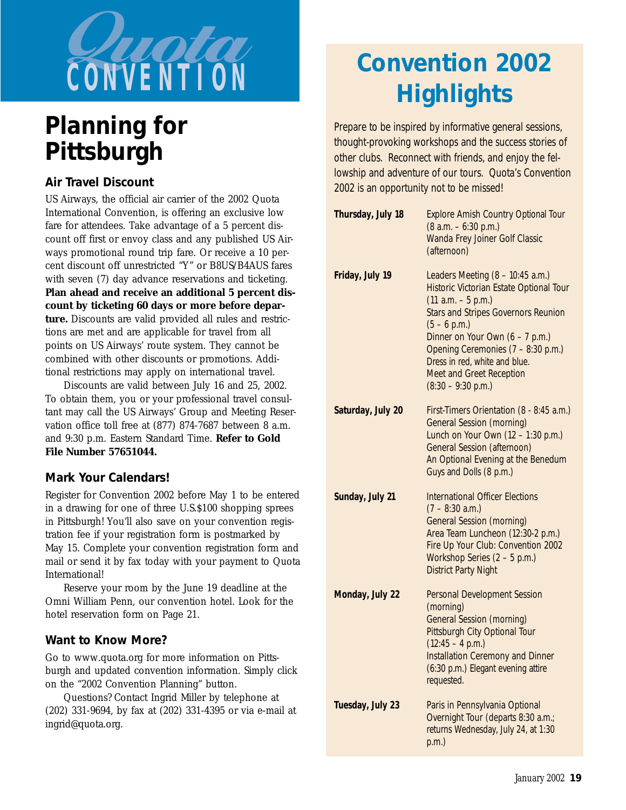

# **Planning for Pittsburgh**

#### **Air Travel Discount**

US Airways, the official air carrier of the 2002 Quota International Convention, is offering an exclusive low fare for attendees. Take advantage of a 5 percent discount off first or envoy class and any published US Airways promotional round trip fare. Or receive a 10 percent discount off unrestricted "Y" or B8US/B4AUS fares with seven (7) day advance reservations and ticketing. **Plan ahead and receive an additional 5 percent discount by ticketing 60 days or more before departure.** Discounts are valid provided all rules and restrictions are met and are applicable for travel from all points on US Airways' route system. They cannot be combined with other discounts or promotions. Additional restrictions may apply on international travel.

Discounts are valid between July 16 and 25, 2002. To obtain them, you or your professional travel consultant may call the US Airways' Group and Meeting Reservation office toll free at (877) 874-7687 between 8 a.m. and 9:30 p.m. Eastern Standard Time. **Refer to Gold File Number 57651044.** 

#### **Mark Your Calendars!**

Register for Convention 2002 before May 1 to be entered in a drawing for one of three U.S.\$100 shopping sprees in Pittsburgh! You'll also save on your convention registration fee if your registration form is postmarked by May 15. Complete your convention registration form and mail or send it by fax today with your payment to Quota International!

Reserve your room by the June 19 deadline at the Omni William Penn, our convention hotel. Look for the hotel reservation form on Page 21.

#### **Want to Know More?**

Go to www.quota.org for more information on Pittsburgh and updated convention information. Simply click on the "2002 Convention Planning" button.

Questions? Contact Ingrid Miller by telephone at (202) 331-9694, by fax at (202) 331-4395 or via e-mail at ingrid@quota.org.

# **Convention 2002 Highlights**

Prepare to be inspired by informative general sessions, thought-provoking workshops and the success stories of other clubs. Reconnect with friends, and enjoy the fellowship and adventure of our tours. Quota's Convention 2002 is an opportunity not to be missed!

| Thursday, July 18 | <b>Explore Amish Country Optional Tour</b><br>$(8 a.m. - 6:30 p.m.)$<br><b>Wanda Frey Joiner Golf Classic</b><br>(afternoon)                                                                                                                                                                                                                                 |
|-------------------|--------------------------------------------------------------------------------------------------------------------------------------------------------------------------------------------------------------------------------------------------------------------------------------------------------------------------------------------------------------|
| Friday, July 19   | Leaders Meeting $(8 - 10:45 a.m.)$<br>Historic Victorian Estate Optional Tour<br>$(11 a.m. - 5 p.m.)$<br><b>Stars and Stripes Governors Reunion</b><br>$(5 - 6 p.m.)$<br>Dinner on Your Own $(6 - 7 \text{ p.m.})$<br>Opening Ceremonies (7 - 8:30 p.m.)<br>Dress in red, white and blue.<br><b>Meet and Greet Reception</b><br>$(8:30 - 9:30 \text{ p.m.})$ |
| Saturday, July 20 | First-Timers Orientation (8 - 8:45 a.m.)<br><b>General Session (morning)</b><br>Lunch on Your Own $(12 - 1:30 \text{ p.m.})$<br><b>General Session (afternoon)</b><br>An Optional Evening at the Benedum<br>Guys and Dolls (8 p.m.)                                                                                                                          |
| Sunday, July 21   | <b>International Officer Elections</b><br>$(7 - 8:30$ a.m.)<br><b>General Session</b> (morning)<br>Area Team Luncheon (12:30-2 p.m.)<br>Fire Up Your Club: Convention 2002<br>Workshop Series $(2 - 5 p.m.)$<br><b>District Party Night</b>                                                                                                                  |
| Monday, July 22   | <b>Personal Development Session</b><br>(morning)<br><b>General Session</b> (morning)<br><b>Pittsburgh City Optional Tour</b><br>$(12:45 - 4 p.m.)$<br><b>Installation Ceremony and Dinner</b><br>(6:30 p.m.) Elegant evening attire<br>requested.                                                                                                            |
| Tuesday, July 23  | Paris in Pennsylvania Optional<br>Overnight Tour (departs 8:30 a.m.;<br>returns Wednesday, July 24, at 1:30<br>$p.m.$ )                                                                                                                                                                                                                                      |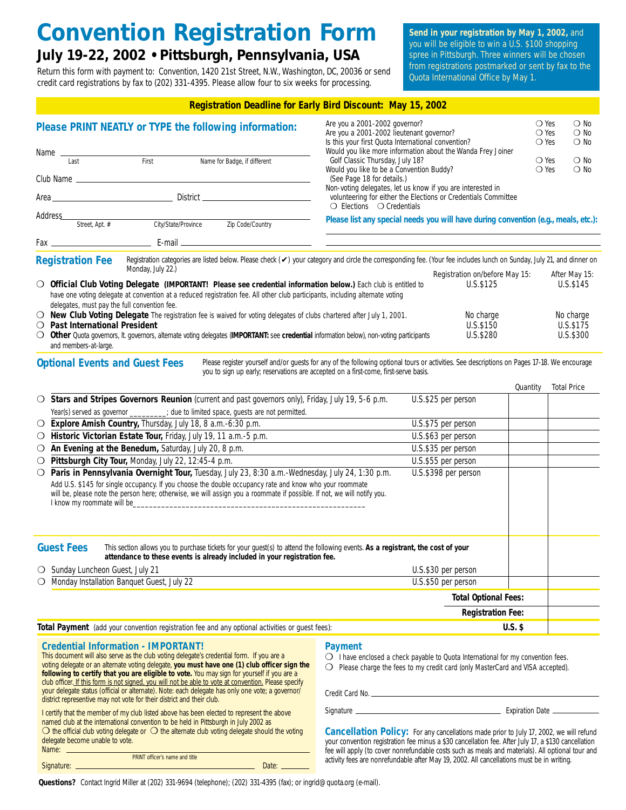# **Convention Registration Form**

#### **July 19-22, 2002 • Pittsburgh, Pennsylvania, USA**

Return this form with payment to: Convention, 1420 21st Street, N.W., Washington, DC, 20036 or send credit card registrations by fax to (202) 331-4395. Please allow four to six weeks for processing.

*Send in your registration by May 1, 2002,* and you will be eligible to win a U.S. \$100 shopping spree in Pittsburgh. Three winners will be chosen from registrations postmarked or sent by fax to the Quota International Office by May 1.

Are you a 2001-2002 governor?<br>
Are you a 2001-2002 lieutenant governor?<br>  $\bigcirc$  Yes  $\bigcirc$  No

Are you a 2001-2002 lieutenant governor?

#### *Registration Deadline for Early Bird Discount: May 15, 2002*

#### *Please PRINT NEATLY or TYPE the following information:*

| Name    | $\overline{First}$<br>Name for Badge, if different<br>Last                                                                                                                                                                                                                                                                                                                                                                                                                                                                                                                                                                       | Is this your first Quota International convention?<br>Would you like more information about the Wanda Frey Joiner<br>Golf Classic Thursday, July 18?<br>Would you like to be a Convention Buddy?<br>(See Page 18 for details.)     | $\bigcirc$ Yes<br>$\bigcirc$ Yes<br>$\bigcirc$ Yes |  | $\bigcirc$ No<br>$\bigcirc$ No<br>$\bigcirc$ No  |  |
|---------|----------------------------------------------------------------------------------------------------------------------------------------------------------------------------------------------------------------------------------------------------------------------------------------------------------------------------------------------------------------------------------------------------------------------------------------------------------------------------------------------------------------------------------------------------------------------------------------------------------------------------------|------------------------------------------------------------------------------------------------------------------------------------------------------------------------------------------------------------------------------------|----------------------------------------------------|--|--------------------------------------------------|--|
| Area    |                                                                                                                                                                                                                                                                                                                                                                                                                                                                                                                                                                                                                                  | Non-voting delegates, let us know if you are interested in<br>volunteering for either the Elections or Credentials Committee                                                                                                       |                                                    |  |                                                  |  |
|         | Address_                                                                                                                                                                                                                                                                                                                                                                                                                                                                                                                                                                                                                         | $\bigcirc$ Elections $\bigcirc$ Credentials                                                                                                                                                                                        |                                                    |  |                                                  |  |
|         | City/State/Province Zip Code/Country<br>Street, Apt. #                                                                                                                                                                                                                                                                                                                                                                                                                                                                                                                                                                           | Please list any special needs you will have during convention (e.g., meals, etc.):                                                                                                                                                 |                                                    |  |                                                  |  |
|         |                                                                                                                                                                                                                                                                                                                                                                                                                                                                                                                                                                                                                                  |                                                                                                                                                                                                                                    |                                                    |  |                                                  |  |
|         | Registration categories are listed below. Please check (v) your category and circle the corresponding fee. (Your fee includes lunch on Sunday, July 21, and dinner on<br><b>Registration Fee</b><br>Monday, July 22.)                                                                                                                                                                                                                                                                                                                                                                                                            | Registration on/before May 15:                                                                                                                                                                                                     |                                                    |  | After May 15:                                    |  |
|         | O Official Club Voting Delegate (IMPORTANT! Please see credential information below.) Each club is entitled to<br>have one voting delegate at convention at a reduced registration fee. All other club participants, including alternate voting<br>delegates, must pay the full convention fee.<br>O New Club Voting Delegate The registration fee is waived for voting delegates of clubs chartered after July 1, 2001.<br>O Past International President<br>O Other Quota governors, It. governors, alternate voting delegates (IMPORTANT: see credential information below), non-voting participants<br>and members-at-large. | U.S.\$125<br>No charge<br>U.S.\$150<br>U.S.\$280                                                                                                                                                                                   |                                                    |  | U.S.\$145<br>No charge<br>U.S.\$175<br>U.S.\$300 |  |
|         | <b>Optional Events and Guest Fees</b>                                                                                                                                                                                                                                                                                                                                                                                                                                                                                                                                                                                            | Please register yourself and/or quests for any of the following optional tours or activities. See descriptions on Pages 17-18. We encourage<br>you to sign up early; reservations are accepted on a first-come, first-serve basis. | Quantity                                           |  | <b>Total Price</b>                               |  |
|         | O Stars and Stripes Governors Reunion (current and past governors only), Friday, July 19, 5-6 p.m.                                                                                                                                                                                                                                                                                                                                                                                                                                                                                                                               | U.S.\$25 per person                                                                                                                                                                                                                |                                                    |  |                                                  |  |
|         | Year(s) served as governor ________; due to limited space, guests are not permitted.                                                                                                                                                                                                                                                                                                                                                                                                                                                                                                                                             |                                                                                                                                                                                                                                    |                                                    |  |                                                  |  |
|         | O Explore Amish Country, Thursday, July 18, 8 a.m.-6:30 p.m.                                                                                                                                                                                                                                                                                                                                                                                                                                                                                                                                                                     | U.S.\$75 per person                                                                                                                                                                                                                |                                                    |  |                                                  |  |
|         | O Historic Victorian Estate Tour, Friday, July 19, 11 a.m.-5 p.m.                                                                                                                                                                                                                                                                                                                                                                                                                                                                                                                                                                | U.S.\$63 per person                                                                                                                                                                                                                |                                                    |  |                                                  |  |
|         | O An Evening at the Benedum, Saturday, July 20, 8 p.m.                                                                                                                                                                                                                                                                                                                                                                                                                                                                                                                                                                           | U.S.\$35 per person                                                                                                                                                                                                                |                                                    |  |                                                  |  |
|         | O Pittsburgh City Tour, Monday, July 22, 12:45-4 p.m.                                                                                                                                                                                                                                                                                                                                                                                                                                                                                                                                                                            | U.S.\$55 per person                                                                                                                                                                                                                |                                                    |  |                                                  |  |
|         | O Paris in Pennsylvania Overnight Tour, Tuesday, July 23, 8:30 a.m.-Wednesday, July 24, 1:30 p.m.<br>Add U.S. \$145 for single occupancy. If you choose the double occupancy rate and know who your roommate<br>will be, please note the person here; otherwise, we will assign you a roommate if possible. If not, we will notify you.                                                                                                                                                                                                                                                                                          | U.S.\$398 per person                                                                                                                                                                                                               |                                                    |  |                                                  |  |
|         | <b>Guest Fees</b><br>This section allows you to purchase tickets for your guest(s) to attend the following events. As a registrant, the cost of your<br>attendance to these events is already included in your registration fee.                                                                                                                                                                                                                                                                                                                                                                                                 |                                                                                                                                                                                                                                    |                                                    |  |                                                  |  |
| $\circ$ | Sunday Luncheon Guest, July 21                                                                                                                                                                                                                                                                                                                                                                                                                                                                                                                                                                                                   | U.S.\$30 per person                                                                                                                                                                                                                |                                                    |  |                                                  |  |
|         | O Monday Installation Banquet Guest, July 22                                                                                                                                                                                                                                                                                                                                                                                                                                                                                                                                                                                     | U.S.\$50 per person                                                                                                                                                                                                                |                                                    |  |                                                  |  |
|         |                                                                                                                                                                                                                                                                                                                                                                                                                                                                                                                                                                                                                                  | <b>Total Optional Fees:</b>                                                                                                                                                                                                        |                                                    |  |                                                  |  |
|         |                                                                                                                                                                                                                                                                                                                                                                                                                                                                                                                                                                                                                                  | <b>Registration Fee:</b>                                                                                                                                                                                                           |                                                    |  |                                                  |  |
|         | Total Payment (add your convention registration fee and any optional activities or guest fees):                                                                                                                                                                                                                                                                                                                                                                                                                                                                                                                                  |                                                                                                                                                                                                                                    | $U.S.$ \$                                          |  |                                                  |  |
|         | <b>Credential Information - IMPORTANT!</b><br>This document will also serve as the club voting delegate's credential form. If you are a                                                                                                                                                                                                                                                                                                                                                                                                                                                                                          | <b>Payment</b><br>$\Omega$ Thave enclosed a check navable to Quota International for my convention fees                                                                                                                            |                                                    |  |                                                  |  |

 $\bigcirc$  I have enclosed a check payable to Quota International for my convention fees. ◯ Please charge the fees to my credit card (only MasterCard and VISA accepted).

Credit Card No.

Signature Expiration Date

**Cancellation Policy:** For any cancellations made prior to July 17, 2002, we will refund your convention registration fee minus a \$30 cancellation fee. After July 17, a \$130 cancellation fee will apply (to cover nonrefundable costs such as meals and materials). All optional tour and activity fees are nonrefundable after May 19, 2002. All cancellations must be in writing.

**Questions?** Contact Ingrid Miller at (202) 331-9694 (telephone); (202) 331-4395 (fax); or ingrid@quota.org (e-mail).

voting delegate or an alternate voting delegate, **you must have one (1) club officer sign the** following to certify that you are eligible to vote. You may sign for yourself if you are a club officer. If this form is not signed, you will not be able to vote at convention. Please specify your delegate status (official or alternate). Note: each delegate has only one vote; a governor/

I certify that the member of my club listed above has been elected to represent the above named club at the international convention to be held in Pittsburgh in July 2002 as  $\bigcirc$  the official club voting delegate or  $\bigcirc$  the alternate club voting delegate should the voting

*PRINT officer's name and title* Signature: Date:

district representive may not vote for their district and their club.

delegate become unable to vote.

Name: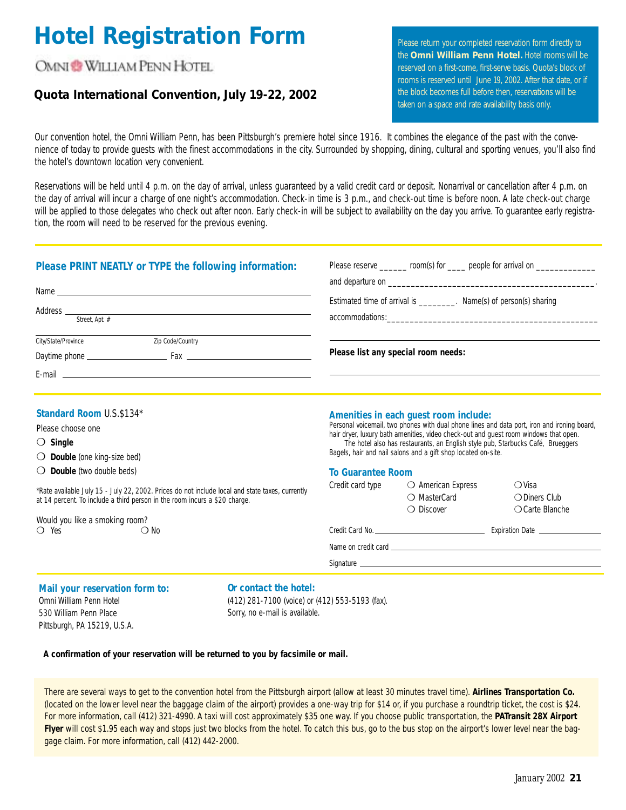# **Hotel Registration Form**

#### OMNI WILLIAM PENN HOTEL

#### **Quota International Convention, July 19-22, 2002**

Please return your completed reservation form directly to the **Omni William Penn Hotel.** Hotel rooms will be reserved on a first-come, first-serve basis. Quota's block of rooms is reserved until June 19, 2002. After that date, or if the block becomes full before then, reservations will be taken on a space and rate availability basis only.

Our convention hotel, the Omni William Penn, has been Pittsburgh's premiere hotel since 1916. It combines the elegance of the past with the convenience of today to provide guests with the finest accommodations in the city. Surrounded by shopping, dining, cultural and sporting venues, you'll also find the hotel's downtown location very convenient.

Reservations will be held until 4 p.m. on the day of arrival, unless quaranteed by a valid credit card or deposit. Nonarrival or cancellation after 4 p.m. on the day of arrival will incur a charge of one night's accommodation. Check-in time is 3 p.m., and check-out time is before noon. A late check-out charge will be applied to those delegates who check out after noon. Early check-in will be subject to availability on the day you arrive. To quarantee early registration, the room will need to be reserved for the previous evening.

| <b>Please PRINT NEATLY or TYPE the following information:</b><br>Name $\overline{\phantom{a}}$<br>Street, Apt. #                                                                                                                                                                                                                                                                                                | Please reserve ________ room(s) for _____ people for arrival on ________________<br>Estimated time of arrival is _________. Name(s) of person(s) sharing<br>Please list any special room needs: |                                                                                                                                                                                                                                                                                                                                                                                                                                                                                                                                                                       |  |  |
|-----------------------------------------------------------------------------------------------------------------------------------------------------------------------------------------------------------------------------------------------------------------------------------------------------------------------------------------------------------------------------------------------------------------|-------------------------------------------------------------------------------------------------------------------------------------------------------------------------------------------------|-----------------------------------------------------------------------------------------------------------------------------------------------------------------------------------------------------------------------------------------------------------------------------------------------------------------------------------------------------------------------------------------------------------------------------------------------------------------------------------------------------------------------------------------------------------------------|--|--|
| Zip Code/Country<br>City/State/Province                                                                                                                                                                                                                                                                                                                                                                         |                                                                                                                                                                                                 |                                                                                                                                                                                                                                                                                                                                                                                                                                                                                                                                                                       |  |  |
| <b>Standard Room U.S.\$134*</b><br>Please choose one<br>$\bigcirc$ Single<br>$\bigcirc$ Double (one king-size bed)<br>$\bigcirc$ Double (two double beds)<br>*Rate available July 15 - July 22, 2002. Prices do not include local and state taxes, currently<br>at 14 percent. To include a third person in the room incurs a \$20 charge.<br>Would you like a smoking room?<br>$\bigcirc$ Yes<br>$\bigcirc$ No |                                                                                                                                                                                                 | Amenities in each guest room include:<br>Personal voicemail, two phones with dual phone lines and data port, iron and ironing board,<br>hair dryer, luxury bath amenities, video check-out and guest room windows that open.<br>The hotel also has restaurants, an English style pub, Starbucks Café, Brueggers<br>Bagels, hair and nail salons and a gift shop located on-site.<br><b>To Guarantee Room</b><br>Credit card type $\bigcirc$ American Express<br>$\bigcirc$ Visa<br>◯ MasterCard<br>$\bigcirc$ Diners Club<br>$\bigcirc$ Discover<br>$O$ Carte Blanche |  |  |
|                                                                                                                                                                                                                                                                                                                                                                                                                 |                                                                                                                                                                                                 |                                                                                                                                                                                                                                                                                                                                                                                                                                                                                                                                                                       |  |  |

**A confirmation of your reservation will be returned to you by facsimile or mail.**

Pittsburgh, PA 15219, U.S.A.

There are several ways to get to the convention hotel from the Pittsburgh airport (allow at least 30 minutes travel time). **Airlines Transportation Co.** (located on the lower level near the baggage claim of the airport) provides a one-way trip for \$14 or, if you purchase a roundtrip ticket, the cost is \$24. For more information, call (412) 321-4990. A taxi will cost approximately \$35 one way. If you choose public transportation, the **PATransit 28X Airport** Flyer will cost \$1.95 each way and stops just two blocks from the hotel. To catch this bus, go to the bus stop on the airport's lower level near the baggage claim. For more information, call (412) 442-2000.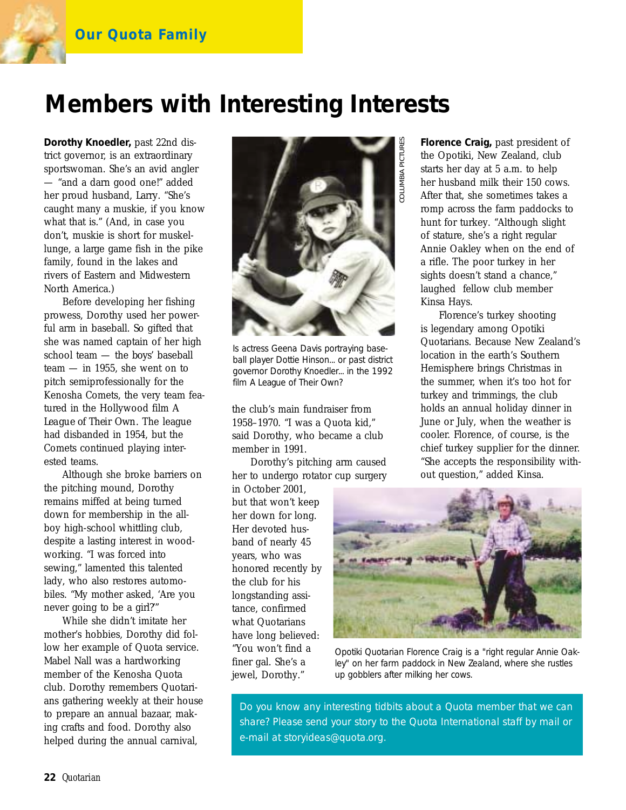

**Dorothy Knoedler,** past 22nd district governor, is an extraordinary sportswoman. She's an avid angler — "and a darn good one!" added her proud husband, Larry. "She's caught many a muskie, if you know what that is." (And, in case you don't, muskie is short for muskellunge, a large game fish in the pike family, found in the lakes and rivers of Eastern and Midwestern North America.)

Before developing her fishing prowess, Dorothy used her powerful arm in baseball. So gifted that she was named captain of her high school team — the *boys'* baseball team — in 1955, she went on to pitch semiprofessionally for the Kenosha Comets, the very team featured in the Hollywood film *A League of Their Own.* The league had disbanded in 1954, but the Comets continued playing interested teams.

Although she broke barriers on the pitching mound, Dorothy remains miffed at being turned down for membership in the allboy high-school whittling club, despite a lasting interest in woodworking. "I was forced into sewing," lamented this talented lady, who also restores automobiles. "My mother asked, 'Are you never going to be a girl?'"

While she didn't imitate her mother's hobbies, Dorothy did follow her example of Quota service. Mabel Nall was a hardworking member of the Kenosha Quota club. Dorothy remembers Quotarians gathering weekly at their house to prepare an annual bazaar, making crafts and food. Dorothy also helped during the annual carnival,



*Is actress Geena Davis portraying baseball player Dottie Hinson... or past district governor Dorothy Knoedler... in the 1992 film* A League of Their Own?

the club's main fundraiser from 1958–1970. "I was a Quota kid," said Dorothy, who became a club member in 1991.

Dorothy's pitching arm caused her to undergo rotator cup surgery

in October 2001, but that won't keep her down for long. Her devoted husband of nearly 45 years, who was honored recently by the club for his longstanding assitance, confirmed what Quotarians have long believed: "You won't find a finer gal. She's a jewel, Dorothy."

**Florence Craig,** past president of the Opotiki, New Zealand, club starts her day at 5 a.m. to help her husband milk their 150 cows. After that, she sometimes takes a romp across the farm paddocks to hunt for turkey. "Although slight of stature, she's a right regular Annie Oakley when on the end of a rifle. The poor turkey in her sights doesn't stand a chance," laughed fellow club member Kinsa Hays.

Florence's turkey shooting is legendary among Opotiki Quotarians. Because New Zealand's location in the earth's Southern Hemisphere brings Christmas in the summer, when it's too hot for turkey and trimmings, the club holds an annual holiday dinner in June or July, when the weather is cooler. Florence, of course, is the chief turkey supplier for the dinner. "She accepts the responsibility without question," added Kinsa.



*Opotiki Quotarian Florence Craig is a "right regular Annie Oakley" on her farm paddock in New Zealand, where she rustles*

*Do you know any interesting tidbits about a Quota member that we can share? Please send your story to the Quota International staff by mail or e-mail at storyideas@quota.org.*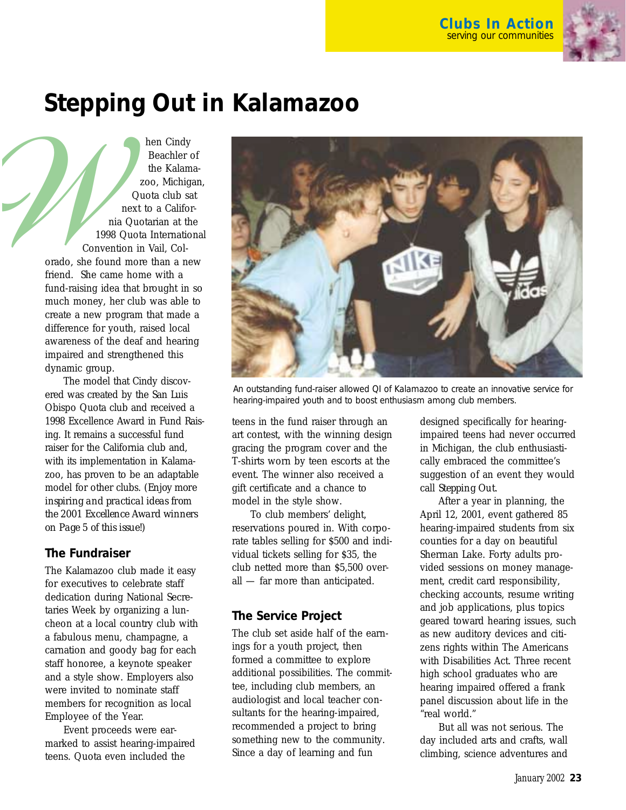

# **Stepping Out in Kalamazoo**

hen Cindy Beachler of the Kalamazoo, Michigan, Quota club sat next to a California Quotarian at the 1998 Quota International Convention in Vail, Colorado, she found more than a new friend. She came home with a fund-raising idea that brought in so much money, her club was able to create a new program that made a difference for youth, raised local awareness of the deaf and hearing impaired and strengthened this dynamic group. mia<br>
1998 Convention<br>
orado, she found<br>
friend. She came<br>
fund-raising idea

> The model that Cindy discovered was created by the San Luis Obispo Quota club and received a 1998 Excellence Award in Fund Raising. It remains a successful fund raiser for the California club and, with its implementation in Kalamazoo, has proven to be an adaptable model for other clubs. *(Enjoy more inspiring and practical ideas from the 2001 Excellence Award winners on Page 5 of this issue!)*

#### **The Fundraiser**

The Kalamazoo club made it easy for executives to celebrate staff dedication during National Secretaries Week by organizing a luncheon at a local country club with a fabulous menu, champagne, a carnation and goody bag for each staff honoree, a keynote speaker and a style show. Employers also were invited to nominate staff members for recognition as local Employee of the Year.

Event proceeds were earmarked to assist hearing-impaired teens. Quota even included the



*An outstanding fund-raiser allowed QI of Kalamazoo to create an innovative service for hearing-impaired youth and to boost enthusiasm among club members.*

teens in the fund raiser through an art contest, with the winning design gracing the program cover and the T-shirts worn by teen escorts at the event. The winner also received a gift certificate and a chance to model in the style show.

To club members' delight, reservations poured in. With corporate tables selling for \$500 and individual tickets selling for \$35, the club netted more than \$5,500 overall — far more than anticipated.

#### **The Service Project**

The club set aside half of the earnings for a youth project, then formed a committee to explore additional possibilities. The committee, including club members, an audiologist and local teacher consultants for the hearing-impaired, recommended a project to bring something new to the community. Since a day of learning and fun

designed specifically for hearingimpaired teens had never occurred in Michigan, the club enthusiastically embraced the committee's suggestion of an event they would call *Stepping Out.* 

After a year in planning, the April 12, 2001, event gathered 85 hearing-impaired students from six counties for a day on beautiful Sherman Lake. Forty adults provided sessions on money management, credit card responsibility, checking accounts, resume writing and job applications, plus topics geared toward hearing issues, such as new auditory devices and citizens rights within The Americans with Disabilities Act. Three recent high school graduates who are hearing impaired offered a frank panel discussion about life in the "real world."

But all was not serious. The day included arts and crafts, wall climbing, science adventures and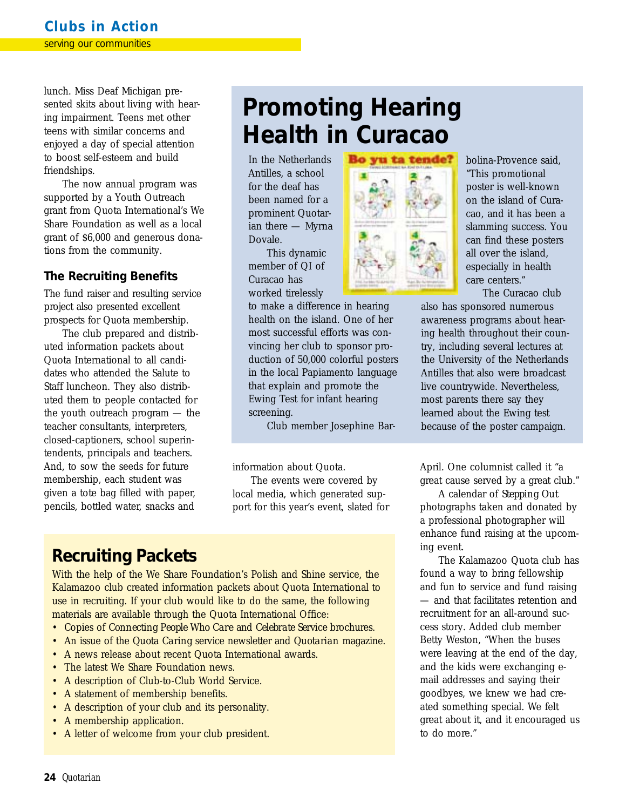lunch. Miss Deaf Michigan presented skits about living with hearing impairment. Teens met other teens with similar concerns and enjoyed a day of special attention to boost self-esteem and build friendships.

The now annual program was supported by a Youth Outreach grant from Quota International's We Share Foundation as well as a local grant of \$6,000 and generous donations from the community.

#### **The Recruiting Benefits**

The fund raiser and resulting service project also presented excellent prospects for Quota membership.

The club prepared and distributed information packets about Quota International to all candidates who attended the Salute to Staff luncheon. They also distributed them to people contacted for the youth outreach program — the teacher consultants, interpreters, closed-captioners, school superintendents, principals and teachers. And, to sow the seeds for future membership, each student was given a tote bag filled with paper, pencils, bottled water, snacks and

# **Promoting Hearing Health in Curacao**

In the Netherlands Antilles, a school for the deaf has been named for a prominent Quotarian there — Myrna Dovale.

This dynamic member of QI of Curacao has worked tirelessly

to make a difference in hearing health on the island. One of her most successful efforts was convincing her club to sponsor production of 50,000 colorful posters in the local Papiamento language that explain and promote the Ewing Test for infant hearing screening.

Club member Josephine Bar-

information about Quota.

The events were covered by local media, which generated support for this year's event, slated for

## **Recruiting Packets**

With the help of the We Share Foundation's Polish and Shine service, the Kalamazoo club created information packets about Quota International to use in recruiting. If your club would like to do the same, the following materials are available through the Quota International Office:

- Copies of *Connecting People Who Care* and *Celebrate Service* brochures.
- An issue of the *Quota Caring* service newsletter and *Quotarian* magazine.
- A news release about recent Quota International awards.
- The latest We Share Foundation news.
- A description of Club-to-Club World Service.
- A statement of membership benefits.
- A description of your club and its personality.
- A membership application.
- A letter of welcome from your club president.



bolina-Provence said, "This promotional poster is well-known on the island of Curacao, and it has been a slamming success. You can find these posters all over the island, especially in health care centers."

The Curacao club also has sponsored numerous

awareness programs about hearing health throughout their country, including several lectures at the University of the Netherlands Antilles that also were broadcast live countrywide. Nevertheless, most parents there say they learned about the Ewing test because of the poster campaign.

April. One columnist called it "a great cause served by a great club."

A calendar of *Stepping Out* photographs taken and donated by a professional photographer will enhance fund raising at the upcoming event.

The Kalamazoo Quota club has found a way to bring fellowship and fun to service and fund raising — and that facilitates retention and recruitment for an all-around success story. Added club member Betty Weston, "When the buses were leaving at the end of the day, and the kids were exchanging email addresses and saying their goodbyes, we knew we had created something special. We felt great about it, and it encouraged us to do more."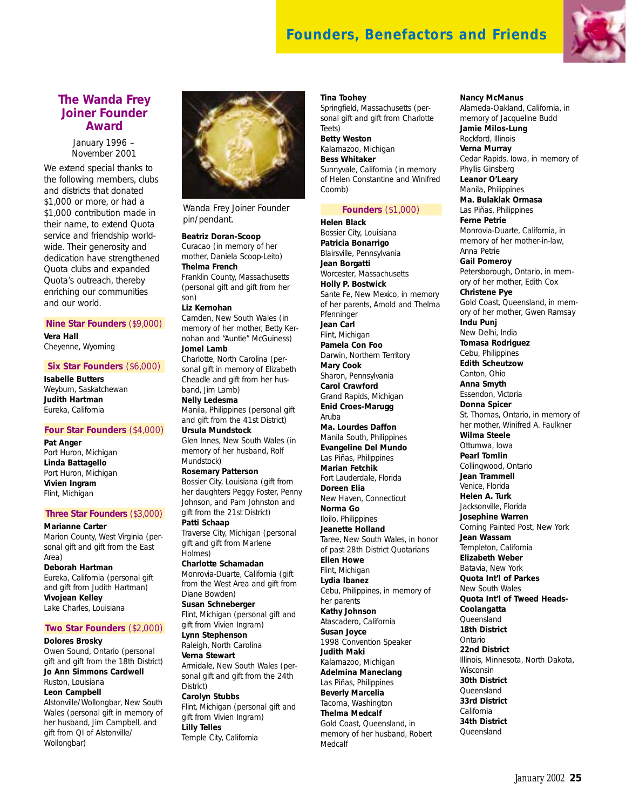#### **Founders, Benefactors and Friends**



#### **The Wanda Frey Joiner Founder Award**

*January 1996 – November 2001*

*We extend special thanks to the following members, clubs and districts that donated \$1,000 or more, or had a \$1,000 contribution made in their name, to extend Quota service and friendship worldwide. Their generosity and dedication have strengthened Quota clubs and expanded Quota's outreach, thereby enriching our communities and our world.*

#### **Nine Star Founders** *(\$9,000)* **Vera Hall**

*Cheyenne, Wyoming*

#### **Six Star Founders** *(\$6,000)*

**Isabelle Butters** *Weyburn, Saskatchewan* **Judith Hartman** *Eureka, California*

#### **Four Star Founders** *(\$4,000)*

**Pat Anger** *Port Huron, Michigan* **Linda Battagello** *Port Huron, Michigan* **Vivien Ingram** *Flint, Michigan*

#### **Three Star Founders** *(\$3,000)*

**Marianne Carter** *Marion County, West Virginia (personal gift and gift from the East Area)*

**Deborah Hartman** *Eureka, California (personal gift and gift from Judith Hartman)* **Vivojean Kelley**

*Lake Charles, Louisiana*

#### **Two Star Founders** *(\$2,000)*

**Dolores Brosky**

*Owen Sound, Ontario (personal gift and gift from the 18th District)* **Jo Ann Simmons Cardwell** *Ruston, Louisiana* **Leon Campbell**

*Alstonville/Wollongbar, New South Wales (personal gift in memory of her husband, Jim Campbell, and gift from QI of Alstonville/ Wollongbar)*



*Wanda Frey Joiner Founder pin/pendant.*

#### **Beatriz Doran-Scoop**

*Curacao (in memory of her mother, Daniela Scoop-Leito)* **Thelma French** *Franklin County, Massachusetts*

*(personal gift and gift from her son)*

#### **Liz Kernohan**

*Camden, New South Wales (in memory of her mother, Betty Kernohan and "Auntie" McGuiness)* **Jomel Lamb** *Charlotte, North Carolina (per-*

*sonal gift in memory of Elizabeth Cheadle and gift from her husband, Jim Lamb)* 

**Nelly Ledesma** *Manila, Philippines (personal gift and gift from the 41st District)*

**Ursula Mundstock** *Glen Innes, New South Wales (in memory of her husband, Rolf Mundstock)*

#### **Rosemary Patterson**

*Bossier City, Louisiana (gift from her daughters Peggy Foster, Penny Johnson, and Pam Johnston and gift from the 21st District)* **Patti Schaap**

*Traverse City, Michigan (personal gift and gift from Marlene Holmes)*

#### **Charlotte Schamadan** *Monrovia-Duarte, California (gift from the West Area and gift from Diane Bowden)*

**Susan Schneberger** *Flint, Michigan (personal gift and gift from Vivien Ingram)*

**Lynn Stephenson** *Raleigh, North Carolina*

**Verna Stewart** *Armidale, New South Wales (per-*

*sonal gift and gift from the 24th District)* **Carolyn Stubbs**

*Flint, Michigan (personal gift and gift from Vivien Ingram)* **Lilly Telles** *Temple City, California*

#### **Tina Toohey**

*Springfield, Massachusetts (personal gift and gift from Charlotte Teets)*

**Betty Weston** *Kalamazoo, Michigan* **Bess Whitaker** *Sunnyvale, California (in memory of Helen Constantine and Winifred Coomb)*

#### **Founders** *(\$1,000)*

**Helen Black** *Bossier City, Louisiana* **Patricia Bonarrigo** *Blairsville, Pennsylvania* **Jean Borgatti** *Worcester, Massachusetts* **Holly P. Bostwick** *Sante Fe, New Mexico, in memory of her parents, Arnold and Thelma Pfenninger* **Jean Carl** *Flint, Michigan* **Pamela Con Foo** *Darwin, Northern Territory* **Mary Cook** *Sharon, Pennsylvania* **Carol Crawford** *Grand Rapids, Michigan* **Enid Croes-Marugg** *Aruba* **Ma. Lourdes Daffon** *Manila South, Philippines* **Evangeline Del Mundo** *Las Piñas, Philippines* **Marian Fetchik** *Fort Lauderdale, Florida* **Doreen Elia** *New Haven, Connecticut* **Norma Go** *Iloilo, Philippines* **Jeanette Holland** *Taree, New South Wales, in honor of past 28th District Quotarians* **Ellen Howe** *Flint, Michigan* **Lydia Ibanez** *Cebu, Philippines, in memory of her parents* **Kathy Johnson** *Atascadero, California* **Susan Joyce** *1998 Convention Speaker* **Judith Maki** *Kalamazoo, Michigan* **Adelmina Maneclang** *Las Piñas, Philippines* **Beverly Marcelia** *Tacoma, Washington* **Thelma Medcalf** *Gold Coast, Queensland, in memory of her husband, Robert*

*Medcalf*

#### **Nancy McManus**

*Alameda-Oakland, California, in memory of Jacqueline Budd* **Jamie Milos-Lung**

*Rockford, Illinois* **Verna Murray**

*Cedar Rapids, Iowa, in memory of Phyllis Ginsberg*

**Leanor O'Leary** *Manila, Philippines* **Ma. Bulaklak Ormasa**

*Las Piñas, Philippines* **Ferne Petrie** *Monrovia-Duarte, California, in memory of her mother-in-law, Anna Petrie*

**Gail Pomeroy** *Petersborough, Ontario, in memory of her mother, Edith Cox*

**Christene Pye** *Gold Coast, Queensland, in memory of her mother, Gwen Ramsay* **Indu Punj**

*New Delhi, India* **Tomasa Rodriguez** *Cebu, Philippines*

**Edith Scheutzow** *Canton, Ohio* **Anna Smyth** *Essendon, Victoria* **Donna Spicer**

*St. Thomas, Ontario, in memory of her mother, Winifred A. Faulkner*

**Wilma Steele** *Ottumwa, Iowa*

**Pearl Tomlin** *Collingwood, Ontario* **Jean Trammell**

*Venice, Florida*

**Helen A. Turk** *Jacksonville, Florida*

**Josephine Warren**

*Corning Painted Post, New York* **Jean Wassam**

*Templeton, California* **Elizabeth Weber**

*Batavia, New York*

**Quota Int'l of Parkes** *New South Wales*

**Quota Int'l of Tweed Heads-**

**Coolangatta**  *Queensland* **18th District** *Ontario* **22nd District** *Illinois, Minnesota, North Dakota, Wisconsin* **30th District** *Queensland*

**33rd District** *California* **34th District** *Queensland*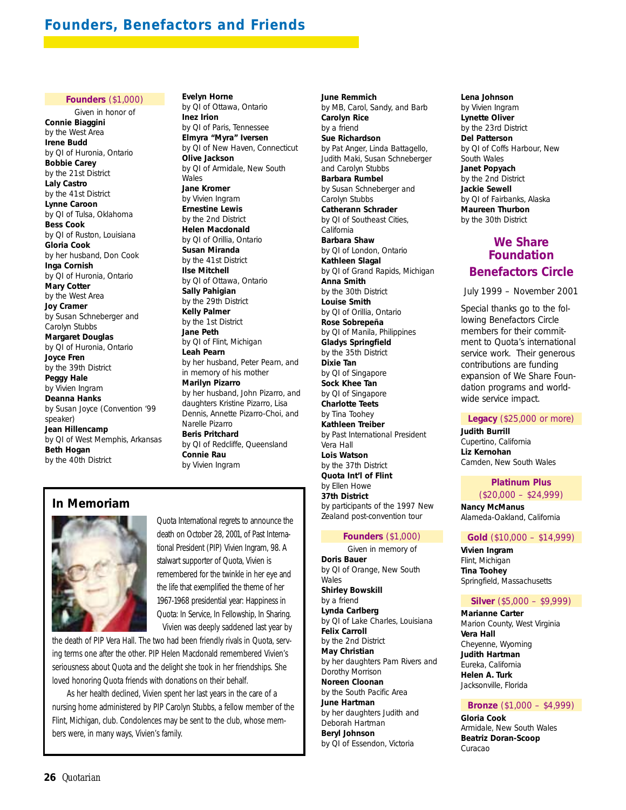#### **Founders, Benefactors and Friends**

#### **Founders** *(\$1,000)*

*Given in honor of*  **Connie Biaggini** *by the West Area* **Irene Budd** *by QI of Huronia, Ontario* **Bobbie Carey** *by the 21st District* **Laly Castro** *by the 41st District* **Lynne Caroon** *by QI of Tulsa, Oklahoma* **Bess Cook** *by QI of Ruston, Louisiana* **Gloria Cook** *by her husband, Don Cook* **Inga Cornish** *by QI of Huronia, Ontario* **Mary Cotter** *by the West Area* **Joy Cramer** *by Susan Schneberger and Carolyn Stubbs* **Margaret Douglas** *by QI of Huronia, Ontario* **Joyce Fren** *by the 39th District* **Peggy Hale** *by Vivien Ingram* **Deanna Hanks** *by Susan Joyce (Convention '99 speaker)* **Jean Hillencamp** *by QI of West Memphis, Arkansas*  **Beth Hogan**

**Evelyn Horne** *by QI of Ottawa, Ontario* **Inez Irion** *by QI of Paris, Tennessee* **Elmyra "Myra" Iversen** *by QI of New Haven, Connecticut* **Olive Jackson** *by QI of Armidale, New South Wales* **Jane Kromer** *by Vivien Ingram* **Ernestine Lewis** *by the 2nd District* **Helen Macdonald** *by QI of Orillia, Ontario* **Susan Miranda** *by the 41st District* **Ilse Mitchell** *by QI of Ottawa, Ontario* **Sally Pahigian** *by the 29th District* **Kelly Palmer** *by the 1st District* **Jane Peth** *by QI of Flint, Michigan* **Leah Pearn** *by her husband, Peter Pearn, and in memory of his mother* **Marilyn Pizarro** *by her husband, John Pizarro, and daughters Kristine Pizarro, Lisa Dennis, Annette Pizarro-Choi, and Narelle Pizarro* **Beris Pritchard** *by QI of Redcliffe, Queensland* **Connie Rau** *by Vivien Ingram*

**June Remmich** *by MB, Carol, Sandy, and Barb* **Carolyn Rice** *by a friend* **Sue Richardson** *by Pat Anger, Linda Battagello, Judith Maki, Susan Schneberger and Carolyn Stubbs* **Barbara Rumbel** *by Susan Schneberger and Carolyn Stubbs* **Catherann Schrader** *by QI of Southeast Cities, California* **Barbara Shaw** *by QI of London, Ontario* **Kathleen Slagal** *by QI of Grand Rapids, Michigan* **Anna Smith** *by the 30th District* **Louise Smith** *by QI of Orillia, Ontario* **Rose Sobrepeña** *by QI of Manila, Philippines* **Gladys Springfield** *by the 35th District* **Dixie Tan** *by QI of Singapore* **Sock Khee Tan** *by QI of Singapore* **Charlotte Teets** *by Tina Toohey* **Kathleen Treiber** *by Past International President Vera Hall* **Lois Watson** *by the 37th District* **Quota Int'l of Flint** *by Ellen Howe* **37th District** *by participants of the 1997 New Zealand post-convention tour*

#### **Founders** *(\$1,000)*

*Given in memory of*  **Doris Bauer** *by QI of Orange, New South Wales* **Shirley Bowskill** *by a friend* **Lynda Carlberg** *by QI of Lake Charles, Louisiana* **Felix Carroll** *by the 2nd District* **May Christian** *by her daughters Pam Rivers and Dorothy Morrison* **Noreen Cloonan** *by the South Pacific Area* **June Hartman** *by her daughters Judith and Deborah Hartman* **Beryl Johnson** *by QI of Essendon, Victoria*

**Lena Johnson** *by Vivien Ingram* **Lynette Oliver** *by the 23rd District* **Del Patterson** *by QI of Coffs Harbour, New South Wales* **Janet Popyach** *by the 2nd District* **Jackie Sewell** *by QI of Fairbanks, Alaska* **Maureen Thurbon** *by the 30th District*

#### **We Share Foundation Benefactors Circle**

*July 1999 – November 2001*

*Special thanks go to the following Benefactors Circle members for their commitment to Quota's international service work. Their generous contributions are funding expansion of We Share Foundation programs and worldwide service impact.*

#### **Legacy** *(\$25,000 or more)*

**Judith Burrill** *Cupertino, California* **Liz Kernohan** *Camden, New South Wales*

#### **Platinum Plus**  *(\$20,000 – \$24,999)*

**Nancy McManus** *Alameda-Oakland, California*

#### **Gold** *(\$10,000 – \$14,999)*

**Vivien Ingram** *Flint, Michigan* **Tina Toohey** *Springfield, Massachusetts*

#### **Silver** *(\$5,000 – \$9,999)*

**Marianne Carter** *Marion County, West Virginia* **Vera Hall**  *Cheyenne, Wyoming* **Judith Hartman** *Eureka, California* **Helen A. Turk** *Jacksonville, Florida*

#### **Bronze** *(\$1,000 – \$4,999)*

**Gloria Cook** *Armidale, New South Wales* **Beatriz Doran-Scoop** *Curacao*

#### **In Memoriam**

*by the 40th District*



Quota International regrets to announce the death on October 28, 2001, of Past International President (PIP) Vivien Ingram, 98. A stalwart supporter of Quota, Vivien is remembered for the twinkle in her eye and the life that exemplified the theme of her 1967-1968 presidential year: Happiness in Quota: In Service, In Fellowship, In Sharing. Vivien was deeply saddened last year by

the death of PIP Vera Hall. The two had been friendly rivals in Quota, serving terms one after the other. PIP Helen Macdonald remembered Vivien's seriousness about Quota and the delight she took in her friendships. She loved honoring Quota friends with donations on their behalf.

As her health declined, Vivien spent her last years in the care of a nursing home administered by PIP Carolyn Stubbs, a fellow member of the Flint, Michigan, club. Condolences may be sent to the club, whose members were, in many ways, Vivien's family.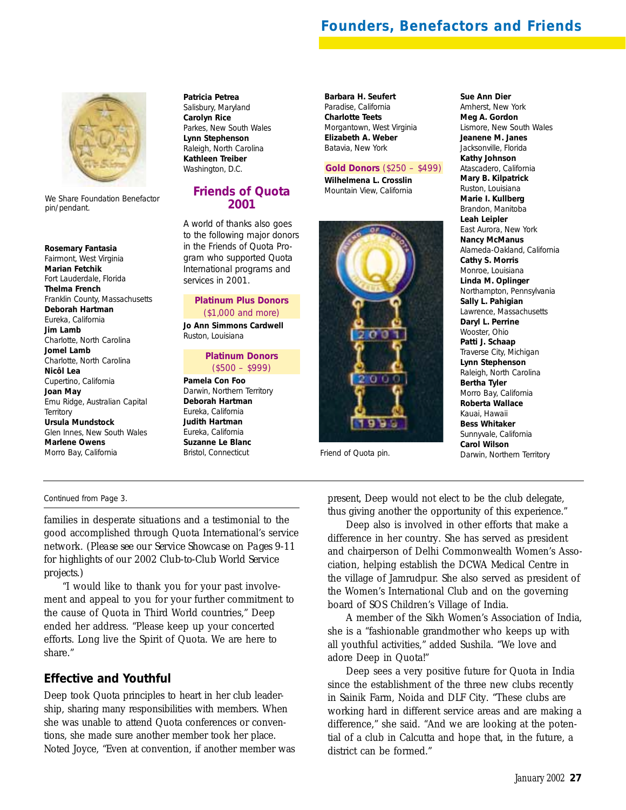#### **Founders, Benefactors and Friends**



*We Share Foundation Benefactor pin/pendant.*

**Rosemary Fantasia** *Fairmont, West Virginia* **Marian Fetchik** *Fort Lauderdale, Florida* **Thelma French** *Franklin County, Massachusetts* **Deborah Hartman** *Eureka, California* **Jim Lamb** *Charlotte, North Carolina* **Jomel Lamb** *Charlotte, North Carolina* **Nicôl Lea** *Cupertino, California*  **Joan May** *Emu Ridge, Australian Capital Territory* **Ursula Mundstock** *Glen Innes, New South Wales* **Marlene Owens** *Morro Bay, California*

#### *Continued from Page 3.*

families in desperate situations and a testimonial to the good accomplished through Quota International's service network. *(Please see our Service Showcase on Pages 9-11 for highlights of our 2002 Club-to-Club World Service projects.)*

"I would like to thank you for your past involvement and appeal to you for your further commitment to the cause of Quota in Third World countries," Deep ended her address. "Please keep up your concerted efforts. Long live the Spirit of Quota. We are here to share."

#### **Effective and Youthful**

Deep took Quota principles to heart in her club leadership, sharing many responsibilities with members. When she was unable to attend Quota conferences or conventions, she made sure another member took her place. Noted Joyce, "Even at convention, if another member was

**Patricia Petrea** *Salisbury, Maryland* **Carolyn Rice** *Parkes, New South Wales* **Lynn Stephenson** *Raleigh, North Carolina* **Kathleen Treiber** *Washington, D.C.*

#### **Friends of Quota 2001**

*A world of thanks also goes to the following major donors in the Friends of Quota Program who supported Quota International programs and services in 2001.*

#### **Platinum Plus Donors**  *(\$1,000 and more)*

**Jo Ann Simmons Cardwell** *Ruston, Louisiana*

> **Platinum Donors**  *(\$500 – \$999)*

**Pamela Con Foo** *Darwin, Northern Territory* **Deborah Hartman** *Eureka, California* **Judith Hartman** *Eureka, California* **Suzanne Le Blanc** *Bristol, Connecticut*

**Barbara H. Seufert** *Paradise, California* **Charlotte Teets** *Morgantown, West Virginia* **Elizabeth A. Weber** *Batavia, New York*

#### **Gold Donors** *(\$250 – \$499)*

**Wilhelmena L. Crosslin** *Mountain View, California*



*Friend of Quota pin.*

**Sue Ann Dier** *Amherst, New York* **Meg A. Gordon** *Lismore, New South Wales* **Jeanene M. Janes** *Jacksonville, Florida* **Kathy Johnson** *Atascadero, California* **Mary B. Kilpatrick** *Ruston, Louisiana* **Marie I. Kullberg** *Brandon, Manitoba* **Leah Leipler** *East Aurora, New York* **Nancy McManus** *Alameda-Oakland, California* **Cathy S. Morris** *Monroe, Louisiana*  **Linda M. Oplinger** *Northampton, Pennsylvania* **Sally L. Pahigian** *Lawrence, Massachusetts* **Daryl L. Perrine** *Wooster, Ohio* **Patti J. Schaap** *Traverse City, Michigan* **Lynn Stephenson** *Raleigh, North Carolina* **Bertha Tyler** *Morro Bay, California* **Roberta Wallace** *Kauai, Hawaii* **Bess Whitaker** *Sunnyvale, California* **Carol Wilson** *Darwin, Northern Territory*

present, Deep would not elect to be the club delegate, thus giving another the opportunity of this experience."

Deep also is involved in other efforts that make a difference in her country. She has served as president and chairperson of Delhi Commonwealth Women's Association, helping establish the DCWA Medical Centre in the village of Jamrudpur. She also served as president of the Women's International Club and on the governing board of SOS Children's Village of India.

A member of the Sikh Women's Association of India, she is a "fashionable grandmother who keeps up with all youthful activities," added Sushila. "We love and adore Deep in Quota!"

Deep sees a very positive future for Quota in India since the establishment of the three new clubs recently in Sainik Farm, Noida and DLF City. "These clubs are working hard in different service areas and are making a difference," she said. "And we are looking at the potential of a club in Calcutta and hope that, in the future, a district can be formed."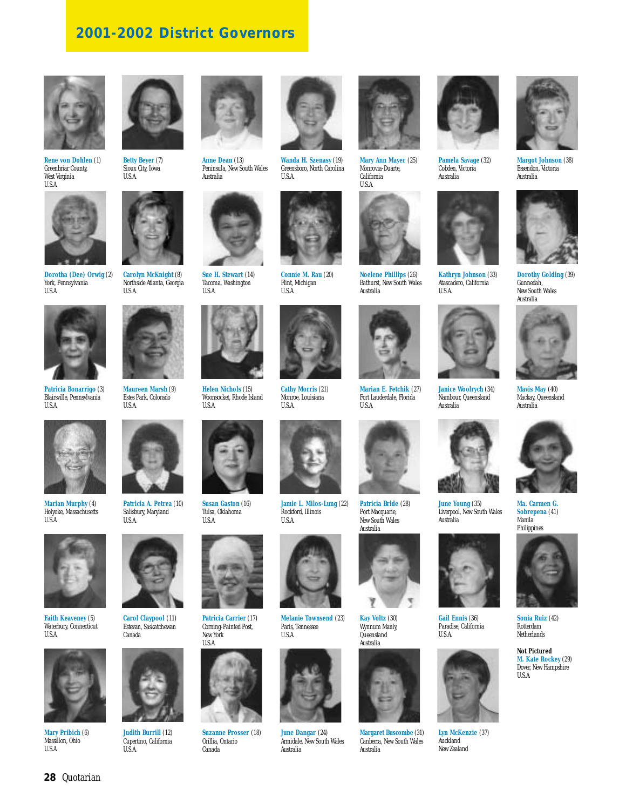#### **2001-2002 District Governors**



**Rene von Dohlen** (1) Greenbriar County, West Virginia U.S.A.



**Dorotha (Dee) Orwig** (2) York, Pennsylvania U.S.A.



**Patricia Bonarrigo** (3) Blairsville, Pennsylvania U.S.A.



**Marian Murphy** (4) Holyoke, Massachusetts U.S.A.



**Faith Keaveney** (5) Waterbury, Connecticut U.S.A.



**Mary Pribich** (6) Massillon, Ohio U.S.A.



**Betty Beyer** (7) Sioux City, Iowa U.S.A.



**Carolyn McKnight** (8) Northside Atlanta, Georgia U.S.A.

**Maureen Marsh** (9) Estes Park, Colorado U.S.A.

**Patricia A. Petrea** (10) Salisbury, Maryland U.S.A.

**Carol Claypool** (11) Estevan, Saskatchewan

**Judith Burrill** (12) Cupertino, California U.S.A.

Canada



**Anne Dean** (13) Peninsula, New South Wales

Australia



**Helen Nichols** (15) Woonsocket, Rhode Island U.S.A.



**Susan Gaston** (16) Tulsa, Oklahoma U.S.A.



**Patricia Carrier** (17) Corning-Painted Post, New York U.S.A.



**Suzanne Prosser** (18) Orillia, Ontario Canada



**Wanda H. Szenasy** (19) Greensboro, North Carolina U.S.A.



**Connie M. Rau** (20) Flint, Michigan U.S.A.



**Cathy Morris** (21) Monroe, Louisiana U.S.A.



**Jamie L. Milos-Lung** (22) Rockford, Illinois U.S.A.



**Melanie Townsend** (23) Paris, Tennessee U.S.A.



**June Dangar** (24) Armidale, New South Wales Australia



**Mary Ann Mayer** (25) Monrovia-Duarte, California U.S.A.



**Noelene Phillips** (26) Bathurst, New South Wales Australia



**Marian E. Fetchik** (27) Fort Lauderdale, Florida U.S.A.



**Patricia Bride** (28) Port Macquarie, New South Wales Australia



**Kay Voltz** (30) Wynnum Manly, Queensland Australia



**Margaret Buscombe** (31) Canberra, New South Wales Australia



Cobden, Victoria Australia



**Kathryn Johnson** (33) Atascadero, California U.S.A.



Nambour, Queensland Australia



**June Young** (35) Liverpool, New South Wales Australia



**Gail Ennis** (36) Paradise, California U.S.A.







**Margot Johnson** (38) Essendon, Victoria Australia



**Dorothy Golding** (39) Gunnedah, New South Wales Australia



**Mavis May** (40) Mackay, Queensland Australia



**Ma. Carmen G. Sobrepena** (41) Manila Philippines



**Sonia Ruiz** (42) Rotterdam Netherlands

**Not Pictured M. Kate Rockey** (29) Dover, New Hampshire U.S.A.







**28** *Quotarian*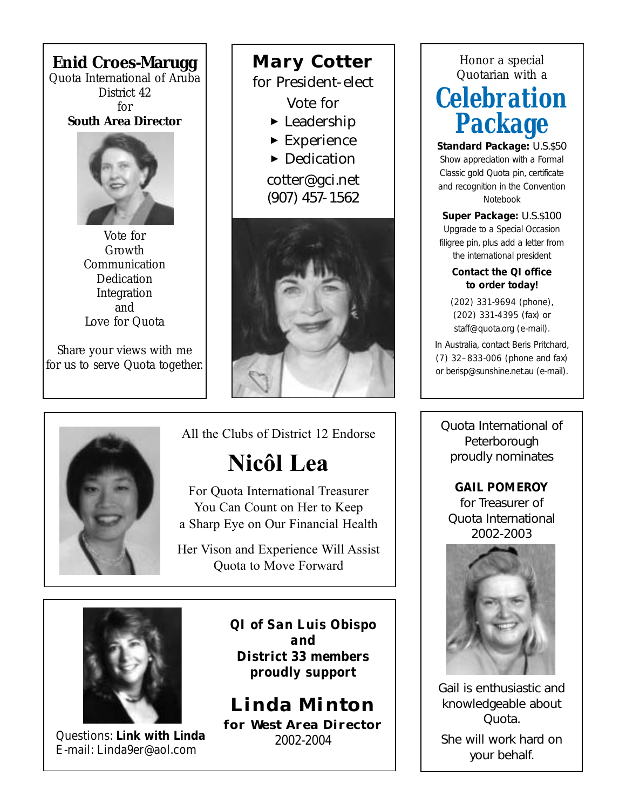**Enid Croes-Marugg** Quota International of Aruba District 42 for **South Area Director**



Vote for Growth **Communication Dedication** Integration and Love for Quota

Share your views with me for us to serve Quota together.

#### **Mary Cotter**

for President-elect

Vote for

> Leadership

> Experience

▶ Dedication

cotter@gci.net (907) 457-1562



All the Clubs of District 12 Endorse

# **Nicôl Lea**

For Quota International Treasurer You Can Count on Her to Keep a Sharp Eye on Our Financial Health

Her Vison and Experience Will Assist Quota to Move Forward



2002-2004 Questions: **Link with Linda** E-mail: Linda9er@aol.com

*QI of San Luis Obispo and District 33 members proudly support*

## **Linda Minton**

**for West Area Director**

Honor a special Quotarian with a

**Celebration Package**

**Standard Package:** U.S.\$50 *Show appreciation with a Formal Classic gold Quota pin, certificate and recognition in the Convention Notebook*

**Super Package:** U.S.\$100 *Upgrade to a Special Occasion filigree pin, plus add a letter from the international president*

#### **Contact the QI office to order today!**

(202) 331-9694 (phone), (202) 331-4395 (fax) or staff@quota.org (e-mail).

In Australia, contact Beris Pritchard, (7) 32–833-006 (phone and fax) or berisp@sunshine.net.au (e-mail).

Quota International of **Peterborough** proudly nominates

#### **GAIL POMEROY**

for Treasurer of Quota International 2002-2003



Gail is enthusiastic and knowledgeable about Quota.

She will work hard on your behalf.